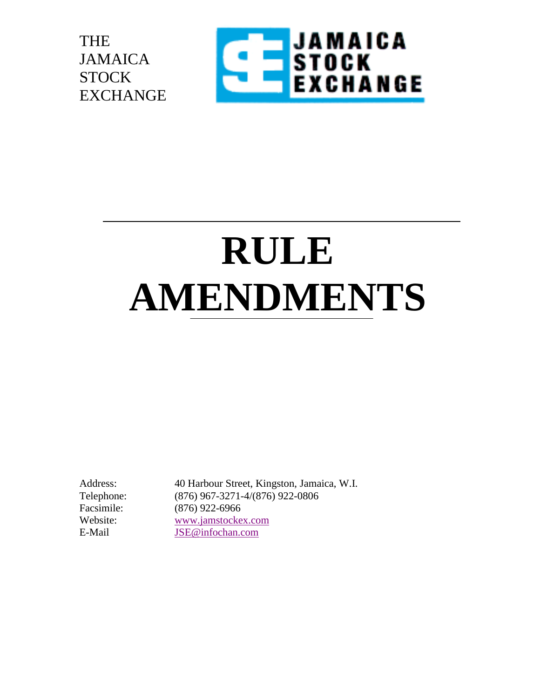THE JAMAICA **STOCK** EXCHANGE



# **RULE AMENDMENTS**

Address: 40 Harbour Street, Kingston, Jamaica, W.I. Telephone: (876) 967-3271-4/(876) 922-0806 Facsimile: (876) 922-6966 Website: [www.jamstockex.com](http://www.jamstockex.com/) E-Mail [JSE@infochan.com](mailto:JSE@infochan.com)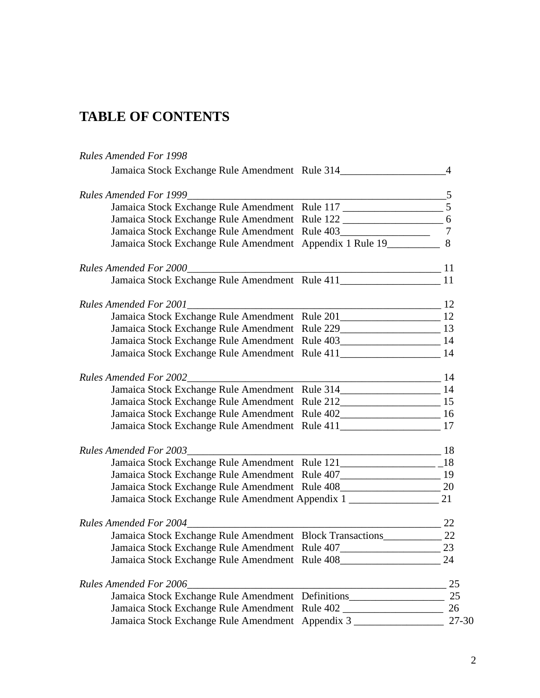### **TABLE OF CONTENTS**

#### *Rules Amended For 1998*

| Jamaica Stock Exchange Rule Amendment Rule 314_________________________________4     |                            |                |
|--------------------------------------------------------------------------------------|----------------------------|----------------|
|                                                                                      |                            |                |
|                                                                                      |                            |                |
| Jamaica Stock Exchange Rule Amendment Rule 122 _______________________ 6             |                            |                |
| Jamaica Stock Exchange Rule Amendment Rule 403                                       |                            | $\overline{7}$ |
| Jamaica Stock Exchange Rule Amendment Appendix 1 Rule 19___________ 8                |                            |                |
| Rules Amended For 2000                                                               |                            |                |
|                                                                                      |                            |                |
| <b>Rules Amended For 2001</b>                                                        | $\overline{\phantom{a}12}$ |                |
|                                                                                      |                            |                |
|                                                                                      |                            |                |
| Jamaica Stock Exchange Rule Amendment Rule 403___________________________________ 14 |                            |                |
| Jamaica Stock Exchange Rule Amendment Rule 411__________________________ 14          |                            |                |
| <b>Rules Amended For 2002</b>                                                        |                            |                |
| Jamaica Stock Exchange Rule Amendment Rule 314________________________ 14            |                            |                |
|                                                                                      |                            |                |
| Jamaica Stock Exchange Rule Amendment Rule 402_______________________ 16             |                            |                |
|                                                                                      |                            |                |
| <b>Rules Amended For 2003</b>                                                        |                            |                |
|                                                                                      |                            |                |
| Jamaica Stock Exchange Rule Amendment Rule 407___________________________________ 19 |                            |                |
| Jamaica Stock Exchange Rule Amendment Rule 408___________________________________ 20 |                            |                |
| Jamaica Stock Exchange Rule Amendment Appendix 1 ________________________________ 21 |                            |                |
| <b>Rules Amended For 2004</b>                                                        | $\sim$ 22                  |                |
| Jamaica Stock Exchange Rule Amendment Block Transactions_________________________ 22 |                            |                |
| Jamaica Stock Exchange Rule Amendment Rule 407__________________________________     |                            | 23             |
| Jamaica Stock Exchange Rule Amendment Rule 408__________________________________     |                            | 24             |
| <b>Rules Amended For 2006</b>                                                        |                            | 25             |
| Jamaica Stock Exchange Rule Amendment Definitions                                    |                            | 25             |
| Jamaica Stock Exchange Rule Amendment Rule 402 _________________________________     |                            | 26             |
| Jamaica Stock Exchange Rule Amendment Appendix 3                                     |                            | 27-30          |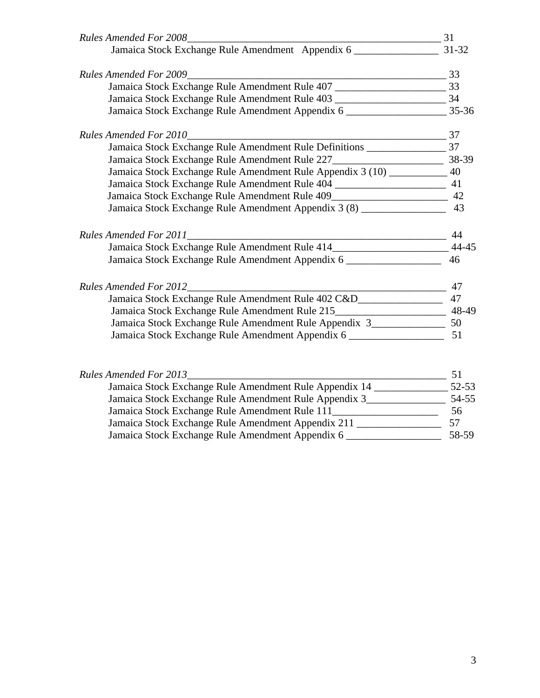| $\frac{33}{2}$<br><b>Rules Amended For 2009</b>                                         |       |
|-----------------------------------------------------------------------------------------|-------|
| Jamaica Stock Exchange Rule Amendment Rule 407 __________________________________ 33    |       |
| Jamaica Stock Exchange Rule Amendment Rule 403 __________________________________ 34    |       |
| Jamaica Stock Exchange Rule Amendment Appendix 6 ________________________________ 35-36 |       |
| $\frac{1}{100}$ 37<br><b>Rules Amended For 2010</b>                                     |       |
| Jamaica Stock Exchange Rule Amendment Rule Definitions _________________________37      |       |
|                                                                                         |       |
| Jamaica Stock Exchange Rule Amendment Rule Appendix 3 (10) ___________ 40               |       |
| Jamaica Stock Exchange Rule Amendment Rule 404 _________________________________ 41     |       |
| Jamaica Stock Exchange Rule Amendment Rule 409__________________________________ 42     |       |
| Jamaica Stock Exchange Rule Amendment Appendix 3 (8) ______________________ 43          |       |
| Rules Amended For 2011                                                                  | 44    |
| Jamaica Stock Exchange Rule Amendment Rule 414______________________________ 44-45      |       |
| Jamaica Stock Exchange Rule Amendment Appendix 6 ________________________ 46            |       |
| <b>Rules Amended For 2012</b><br>$\frac{1}{2}$ 47                                       |       |
| Jamaica Stock Exchange Rule Amendment Rule 402 C&D_______________________ 47            |       |
| Jamaica Stock Exchange Rule Amendment Rule 215__________________________ 48-49          |       |
| Jamaica Stock Exchange Rule Amendment Rule Appendix 3____________________________ 50    |       |
|                                                                                         |       |
| <b>Rules Amended For 2013</b>                                                           | 51    |
| Jamaica Stock Exchange Rule Amendment Rule Appendix 14 _______________________52-53     |       |
| Jamaica Stock Exchange Rule Amendment Rule Appendix 3_______________                    | 54-55 |

| Jamaica Stock Exchange Rule Amendment Rule 111     | 56    |
|----------------------------------------------------|-------|
| Jamaica Stock Exchange Rule Amendment Appendix 211 |       |
| Jamaica Stock Exchange Rule Amendment Appendix 6   | 58-59 |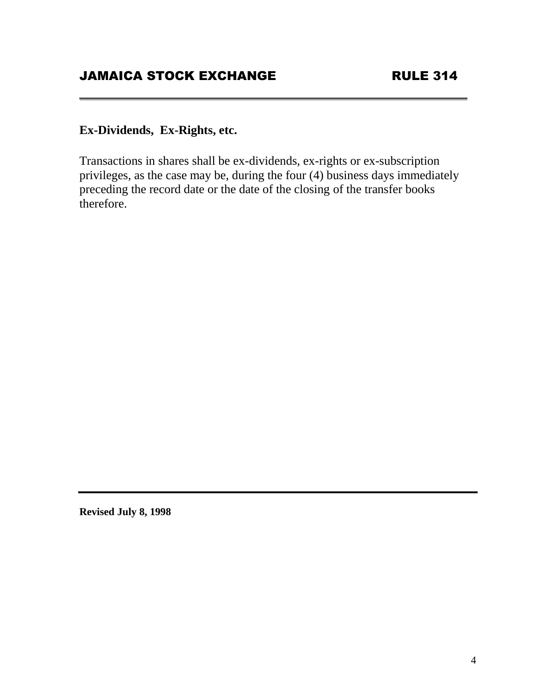#### **Ex-Dividends, Ex-Rights, etc.**

Transactions in shares shall be ex-dividends, ex-rights or ex-subscription privileges, as the case may be, during the four (4) business days immediately preceding the record date or the date of the closing of the transfer books therefore.

**\_\_\_\_\_\_\_\_\_\_\_\_\_\_\_\_\_\_\_\_\_\_\_\_\_\_\_\_\_\_\_\_\_\_\_\_\_\_\_\_\_\_\_\_\_\_\_\_\_\_\_\_\_\_\_**

**Revised July 8, 1998**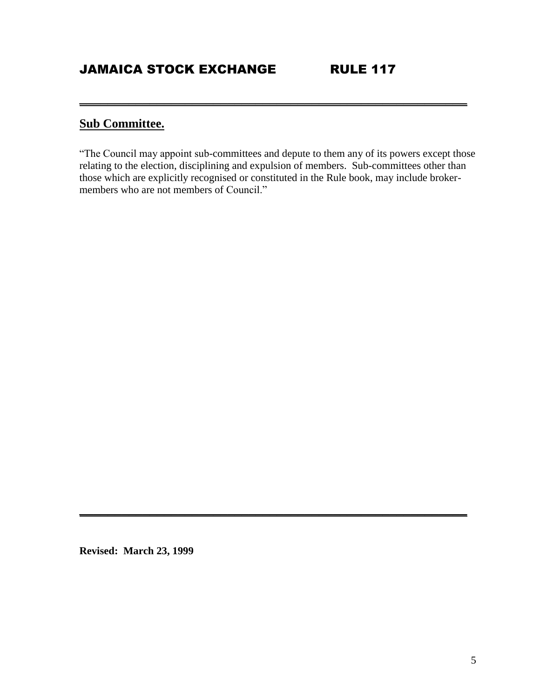### **Sub Committee.**

"The Council may appoint sub-committees and depute to them any of its powers except those relating to the election, disciplining and expulsion of members. Sub-committees other than those which are explicitly recognised or constituted in the Rule book, may include brokermembers who are not members of Council."

**\_\_\_\_\_\_\_\_\_\_\_\_\_\_\_\_\_\_\_\_\_\_\_\_\_\_\_\_\_\_\_\_\_\_\_\_\_\_\_\_\_\_\_\_\_\_\_\_\_\_\_\_\_\_\_**

**\_\_\_\_\_\_\_\_\_\_\_\_\_\_\_\_\_\_\_\_\_\_\_\_\_\_\_\_\_\_\_\_\_\_\_\_\_\_\_\_\_\_\_\_\_\_\_\_\_\_\_\_\_\_\_**

**Revised: March 23, 1999**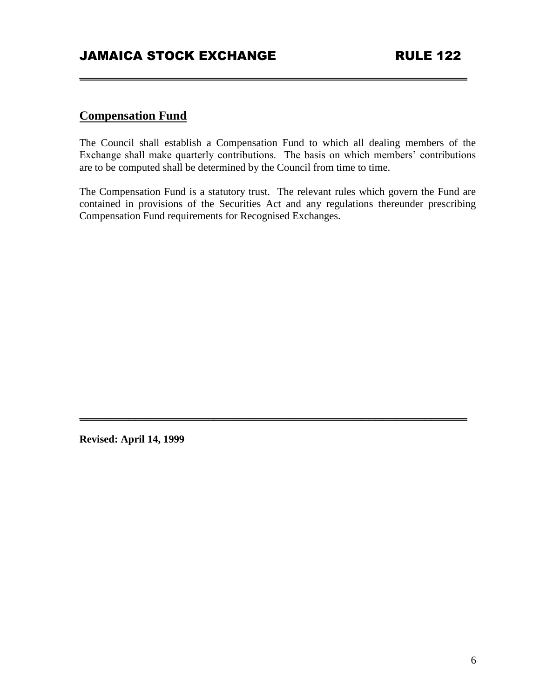#### **Compensation Fund**

The Council shall establish a Compensation Fund to which all dealing members of the Exchange shall make quarterly contributions. The basis on which members' contributions are to be computed shall be determined by the Council from time to time.

**\_\_\_\_\_\_\_\_\_\_\_\_\_\_\_\_\_\_\_\_\_\_\_\_\_\_\_\_\_\_\_\_\_\_\_\_\_\_\_\_\_\_\_\_\_\_\_\_\_\_\_\_\_\_\_**

The Compensation Fund is a statutory trust. The relevant rules which govern the Fund are contained in provisions of the Securities Act and any regulations thereunder prescribing Compensation Fund requirements for Recognised Exchanges.

**\_\_\_\_\_\_\_\_\_\_\_\_\_\_\_\_\_\_\_\_\_\_\_\_\_\_\_\_\_\_\_\_\_\_\_\_\_\_\_\_\_\_\_\_\_\_\_\_\_\_\_\_\_\_\_**

**Revised: April 14, 1999**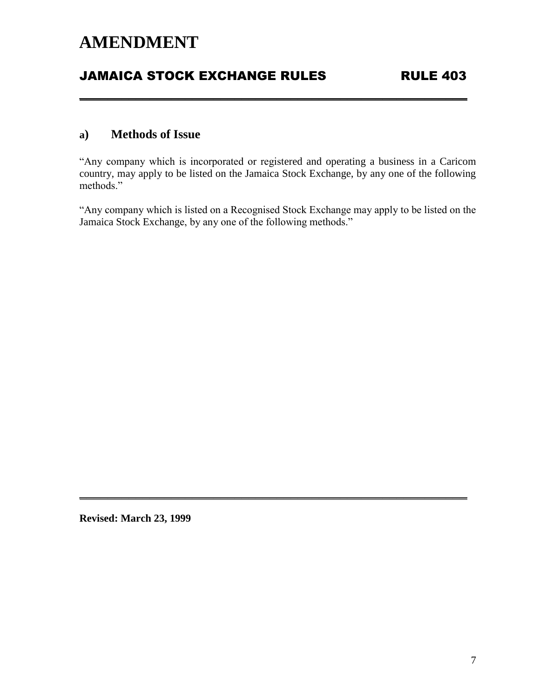### JAMAICA STOCK EXCHANGE RULES RULE 403

#### **a) Methods of Issue**

"Any company which is incorporated or registered and operating a business in a Caricom country, may apply to be listed on the Jamaica Stock Exchange, by any one of the following methods."

**\_\_\_\_\_\_\_\_\_\_\_\_\_\_\_\_\_\_\_\_\_\_\_\_\_\_\_\_\_\_\_\_\_\_\_\_\_\_\_\_\_\_\_\_\_\_\_\_\_\_\_\_\_\_\_**

"Any company which is listed on a Recognised Stock Exchange may apply to be listed on the Jamaica Stock Exchange, by any one of the following methods."

**\_\_\_\_\_\_\_\_\_\_\_\_\_\_\_\_\_\_\_\_\_\_\_\_\_\_\_\_\_\_\_\_\_\_\_\_\_\_\_\_\_\_\_\_\_\_\_\_\_\_\_\_\_\_\_**

**Revised: March 23, 1999**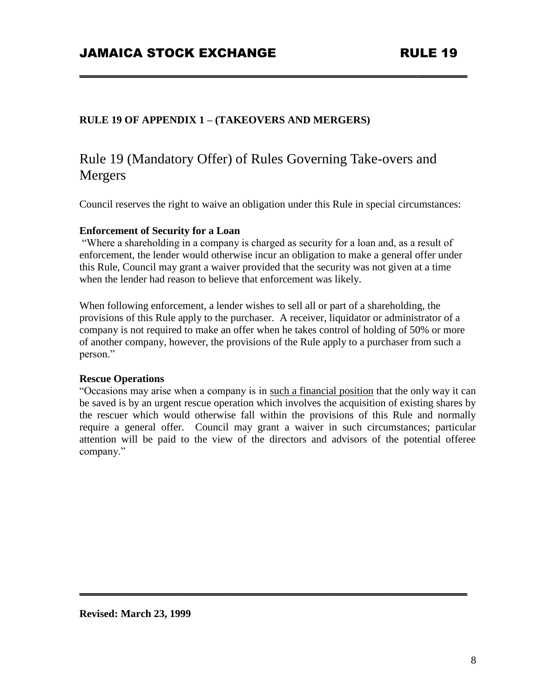#### **RULE 19 OF APPENDIX 1 – (TAKEOVERS AND MERGERS)**

### Rule 19 (Mandatory Offer) of Rules Governing Take-overs and Mergers

Council reserves the right to waive an obligation under this Rule in special circumstances:

**\_\_\_\_\_\_\_\_\_\_\_\_\_\_\_\_\_\_\_\_\_\_\_\_\_\_\_\_\_\_\_\_\_\_\_\_\_\_\_\_\_\_\_\_\_\_\_\_\_\_\_\_\_\_\_**

#### **Enforcement of Security for a Loan**

"Where a shareholding in a company is charged as security for a loan and, as a result of enforcement, the lender would otherwise incur an obligation to make a general offer under this Rule, Council may grant a waiver provided that the security was not given at a time when the lender had reason to believe that enforcement was likely.

When following enforcement, a lender wishes to sell all or part of a shareholding, the provisions of this Rule apply to the purchaser. A receiver, liquidator or administrator of a company is not required to make an offer when he takes control of holding of 50% or more of another company, however, the provisions of the Rule apply to a purchaser from such a person."

#### **Rescue Operations**

"Occasions may arise when a company is in such a financial position that the only way it can be saved is by an urgent rescue operation which involves the acquisition of existing shares by the rescuer which would otherwise fall within the provisions of this Rule and normally require a general offer. Council may grant a waiver in such circumstances; particular attention will be paid to the view of the directors and advisors of the potential offeree company."

**\_\_\_\_\_\_\_\_\_\_\_\_\_\_\_\_\_\_\_\_\_\_\_\_\_\_\_\_\_\_\_\_\_\_\_\_\_\_\_\_\_\_\_\_\_\_\_\_\_\_\_\_\_\_\_**

**Revised: March 23, 1999**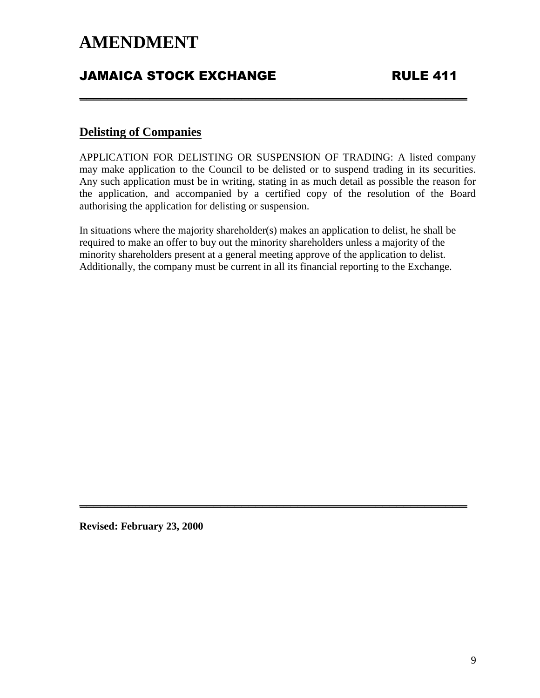### **JAMAICA STOCK EXCHANGE FRULE 411**

#### **Delisting of Companies**

APPLICATION FOR DELISTING OR SUSPENSION OF TRADING: A listed company may make application to the Council to be delisted or to suspend trading in its securities. Any such application must be in writing, stating in as much detail as possible the reason for the application, and accompanied by a certified copy of the resolution of the Board authorising the application for delisting or suspension.

**\_\_\_\_\_\_\_\_\_\_\_\_\_\_\_\_\_\_\_\_\_\_\_\_\_\_\_\_\_\_\_\_\_\_\_\_\_\_\_\_\_\_\_\_\_\_\_\_\_\_\_\_\_\_\_**

In situations where the majority shareholder(s) makes an application to delist, he shall be required to make an offer to buy out the minority shareholders unless a majority of the minority shareholders present at a general meeting approve of the application to delist. Additionally, the company must be current in all its financial reporting to the Exchange.

**\_\_\_\_\_\_\_\_\_\_\_\_\_\_\_\_\_\_\_\_\_\_\_\_\_\_\_\_\_\_\_\_\_\_\_\_\_\_\_\_\_\_\_\_\_\_\_\_\_\_\_\_\_\_\_**

**Revised: February 23, 2000**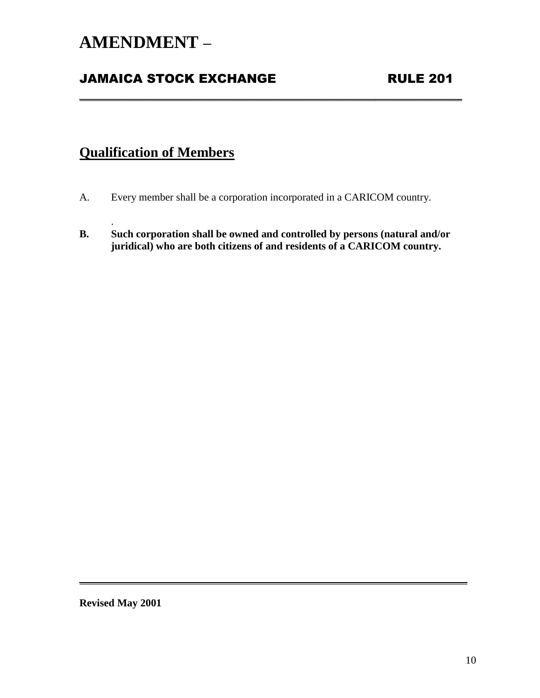### **AMENDMENT –**

### **JAMAICA STOCK EXCHANGE RULE 201**

### **Qualification of Members**

.

- A. Every member shall be a corporation incorporated in a CARICOM country.
- **B. Such corporation shall be owned and controlled by persons (natural and/or juridical) who are both citizens of and residents of a CARICOM country.**

**\_\_\_\_\_\_\_\_\_\_\_\_\_\_\_\_\_\_\_\_\_\_\_\_\_\_\_\_\_\_\_\_\_\_\_\_\_\_\_\_\_\_\_\_\_\_\_\_\_\_\_\_\_\_\_**

**\_\_\_\_\_\_\_\_\_\_\_\_\_\_\_\_\_\_\_\_\_\_\_\_\_\_\_\_\_\_\_\_\_\_\_\_\_\_\_\_\_\_\_\_\_\_\_\_\_\_\_\_\_\_\_\_\_\_\_\_\_\_**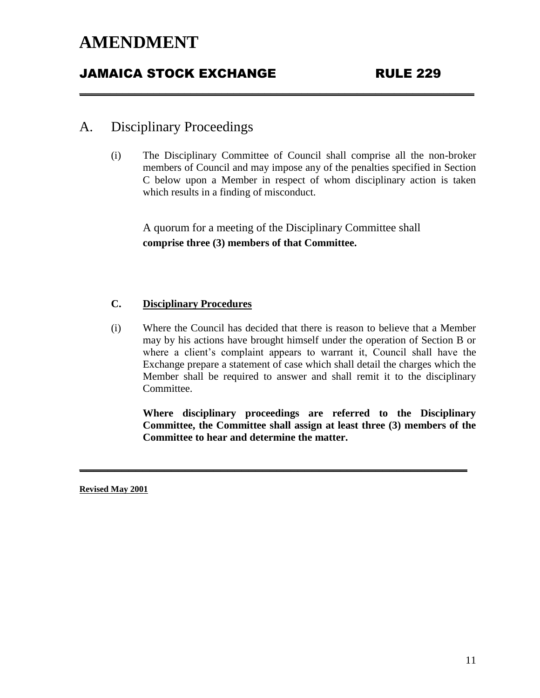### JAMAICA STOCK EXCHANGE RULE 229

#### A. Disciplinary Proceedings

(i) The Disciplinary Committee of Council shall comprise all the non-broker members of Council and may impose any of the penalties specified in Section C below upon a Member in respect of whom disciplinary action is taken which results in a finding of misconduct.

A quorum for a meeting of the Disciplinary Committee shall **comprise three (3) members of that Committee.**

**\_\_\_\_\_\_\_\_\_\_\_\_\_\_\_\_\_\_\_\_\_\_\_\_\_\_\_\_\_\_\_\_\_\_\_\_\_\_\_\_\_\_\_\_\_\_\_\_\_\_\_\_\_\_\_\_\_\_\_\_\_\_\_\_**

#### **C. Disciplinary Procedures**

(i) Where the Council has decided that there is reason to believe that a Member may by his actions have brought himself under the operation of Section B or where a client's complaint appears to warrant it, Council shall have the Exchange prepare a statement of case which shall detail the charges which the Member shall be required to answer and shall remit it to the disciplinary Committee.

**\_\_\_\_\_\_\_\_\_\_\_\_\_\_\_\_\_\_\_\_\_\_\_\_\_\_\_\_\_\_\_\_\_\_\_\_\_\_\_\_\_\_\_\_\_\_\_\_\_\_\_\_\_\_\_**

**Where disciplinary proceedings are referred to the Disciplinary Committee, the Committee shall assign at least three (3) members of the Committee to hear and determine the matter.**

**Revised May 2001**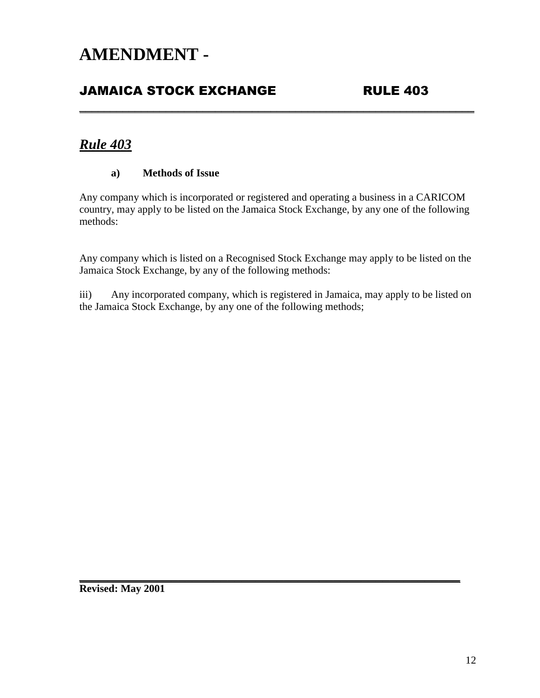### **JAMAICA STOCK EXCHANGE RULE 403**

### *Rule 403*

#### **a) Methods of Issue**

Any company which is incorporated or registered and operating a business in a CARICOM country, may apply to be listed on the Jamaica Stock Exchange, by any one of the following methods:

**\_\_\_\_\_\_\_\_\_\_\_\_\_\_\_\_\_\_\_\_\_\_\_\_\_\_\_\_\_\_\_\_\_\_\_\_\_\_\_\_\_\_\_\_\_\_\_\_\_\_\_\_\_\_\_\_\_\_\_\_\_\_\_\_**

Any company which is listed on a Recognised Stock Exchange may apply to be listed on the Jamaica Stock Exchange, by any of the following methods:

iii) Any incorporated company, which is registered in Jamaica, may apply to be listed on the Jamaica Stock Exchange, by any one of the following methods;

**\_\_\_\_\_\_\_\_\_\_\_\_\_\_\_\_\_\_\_\_\_\_\_\_\_\_\_\_\_\_\_\_\_\_\_\_\_\_\_\_\_\_\_\_\_\_\_\_\_\_\_\_\_\_**

**Revised: May 2001**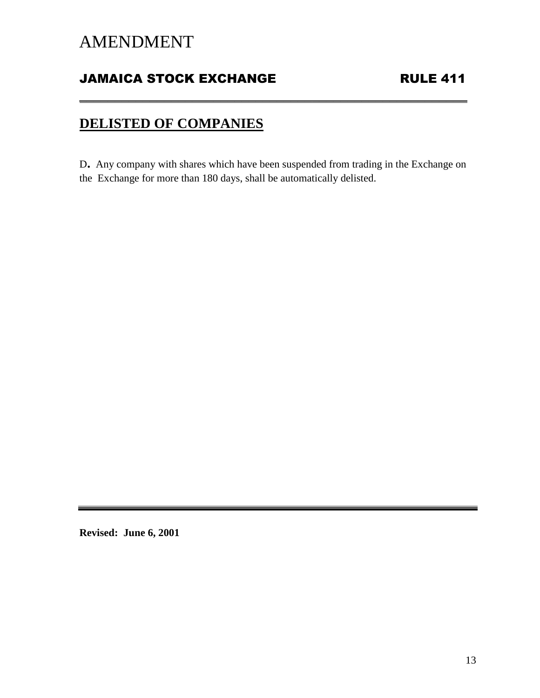### JAMAICA STOCK EXCHANGE RULE 411

### **DELISTED OF COMPANIES**

<sup>D</sup>. Any company with shares which have been suspended from trading in the Exchange on the Exchange for more than 180 days, shall be automatically delisted.

**\_\_\_\_\_\_\_\_\_\_\_\_\_\_\_\_\_\_\_\_\_\_\_\_\_\_\_\_\_\_\_\_\_\_\_\_\_\_\_\_\_\_\_\_\_\_\_\_\_\_\_\_\_\_\_**

**Revised: June 6, 2001**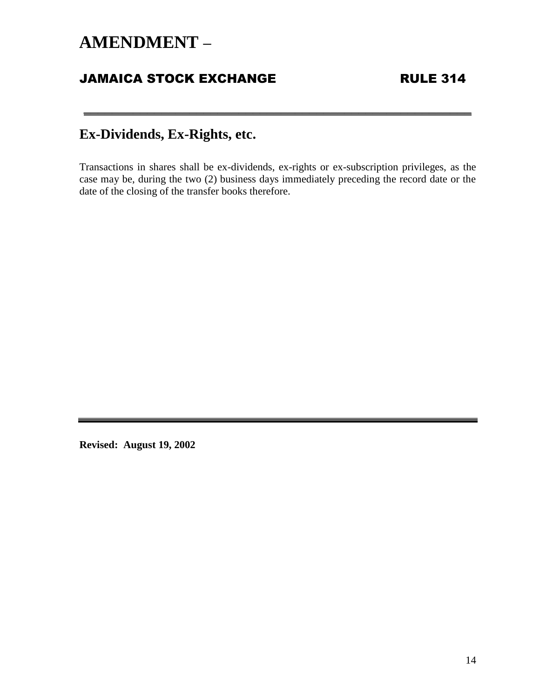### **AMENDMENT –**

### **JAMAICA STOCK EXCHANGE RULE 314**

### **Ex-Dividends, Ex-Rights, etc.**

Transactions in shares shall be ex-dividends, ex-rights or ex-subscription privileges, as the case may be, during the two (2) business days immediately preceding the record date or the date of the closing of the transfer books therefore.

**\_\_\_\_\_\_\_\_\_\_\_\_\_\_\_\_\_\_\_\_\_\_\_\_\_\_\_\_\_\_\_\_\_\_\_\_\_\_\_\_\_\_\_\_\_\_\_\_\_\_\_\_\_\_\_**

**Revised: August 19, 2002**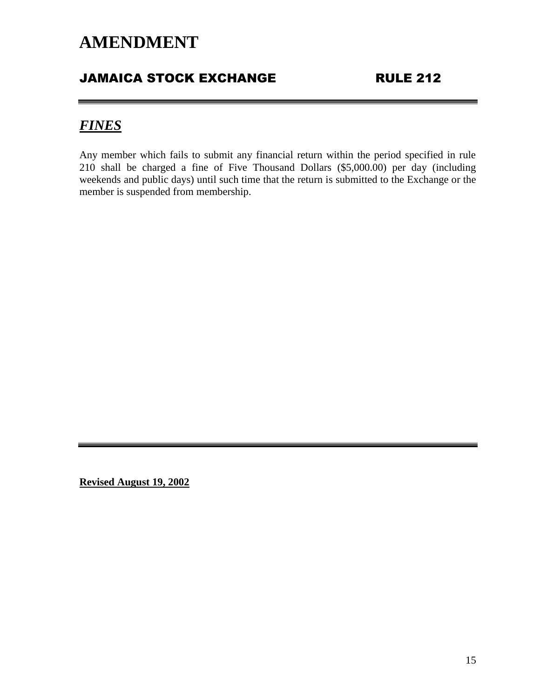### JAMAICA STOCK EXCHANGE RULE 212

### *FINES*

Any member which fails to submit any financial return within the period specified in rule 210 shall be charged a fine of Five Thousand Dollars (\$5,000.00) per day (including weekends and public days) until such time that the return is submitted to the Exchange or the member is suspended from membership.

**Revised August 19, 2002**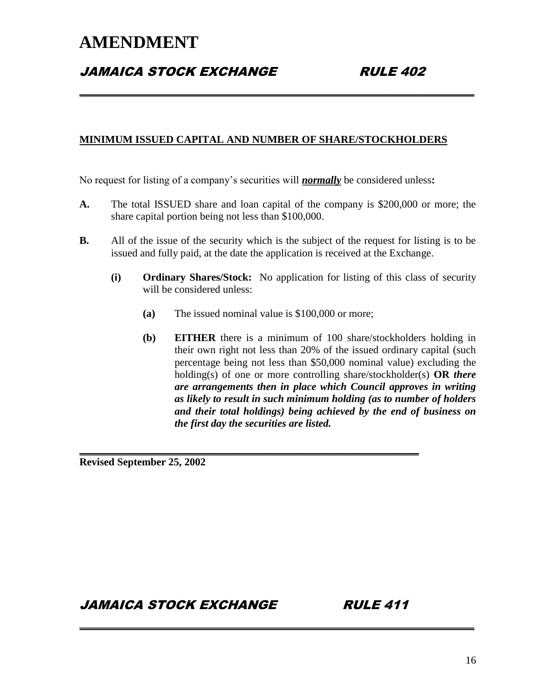### **JAMAICA STOCK EXCHANGE RULE 402**

#### **MINIMUM ISSUED CAPITAL AND NUMBER OF SHARE/STOCKHOLDERS**

**\_\_\_\_\_\_\_\_\_\_\_\_\_\_\_\_\_\_\_\_\_\_\_\_\_\_\_\_\_\_\_\_\_\_\_\_\_\_\_\_\_\_\_\_\_\_\_\_\_\_\_\_\_\_\_\_\_\_\_\_\_\_\_\_**

No request for listing of a company's securities will *normally* be considered unless**:**

- **A.** The total ISSUED share and loan capital of the company is \$200,000 or more; the share capital portion being not less than \$100,000.
- **B.** All of the issue of the security which is the subject of the request for listing is to be issued and fully paid, at the date the application is received at the Exchange.
	- **(i) Ordinary Shares/Stock:** No application for listing of this class of security will be considered unless:
		- **(a)** The issued nominal value is \$100,000 or more;

**\_\_\_\_\_\_\_\_\_\_\_\_\_\_\_\_\_\_\_\_\_\_\_\_\_\_\_\_\_\_\_\_\_\_\_\_\_\_\_\_\_\_\_\_\_\_\_\_\_\_\_\_\_\_\_**

**\_\_\_\_\_\_\_\_\_\_\_\_\_\_\_\_\_\_\_\_\_\_\_\_\_\_\_\_\_\_\_\_\_\_\_\_\_\_\_\_\_\_\_\_\_\_\_\_\_\_\_\_\_\_\_\_\_\_\_\_\_\_\_\_**

**(b) EITHER** there is a minimum of 100 share/stockholders holding in their own right not less than 20% of the issued ordinary capital (such percentage being not less than \$50,000 nominal value) excluding the holding(s) of one or more controlling share/stockholder(s) **OR** *there are arrangements then in place which Council approves in writing as likely to result in such minimum holding (as to number of holders and their total holdings) being achieved by the end of business on the first day the securities are listed.*

**Revised September 25, 2002**

JAMAICA STOCK EXCHANGE RULE 411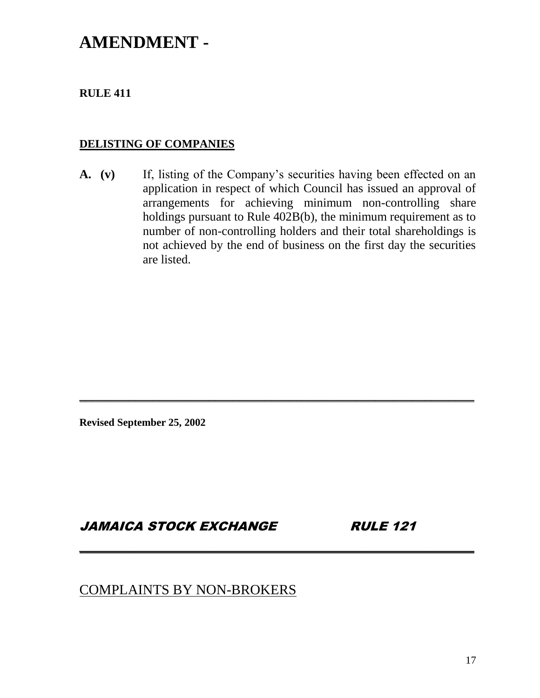### **AMENDMENT -**

#### **RULE 411**

#### **DELISTING OF COMPANIES**

**A. (v)** If, listing of the Company's securities having been effected on an application in respect of which Council has issued an approval of arrangements for achieving minimum non-controlling share holdings pursuant to Rule 402B(b), the minimum requirement as to number of non-controlling holders and their total shareholdings is not achieved by the end of business on the first day the securities are listed.

**\_\_\_\_\_\_\_\_\_\_\_\_\_\_\_\_\_\_\_\_\_\_\_\_\_\_\_\_\_\_\_\_\_\_\_\_\_\_\_\_\_\_\_\_\_\_\_\_\_\_\_\_\_\_\_\_\_\_\_\_\_\_\_\_**

**\_\_\_\_\_\_\_\_\_\_\_\_\_\_\_\_\_\_\_\_\_\_\_\_\_\_\_\_\_\_\_\_\_\_\_\_\_\_\_\_\_\_\_\_\_\_\_\_\_\_\_\_\_\_\_\_**

**Revised September 25, 2002**

#### JAMAICA STOCK EXCHANGE RULE 121

#### COMPLAINTS BY NON-BROKERS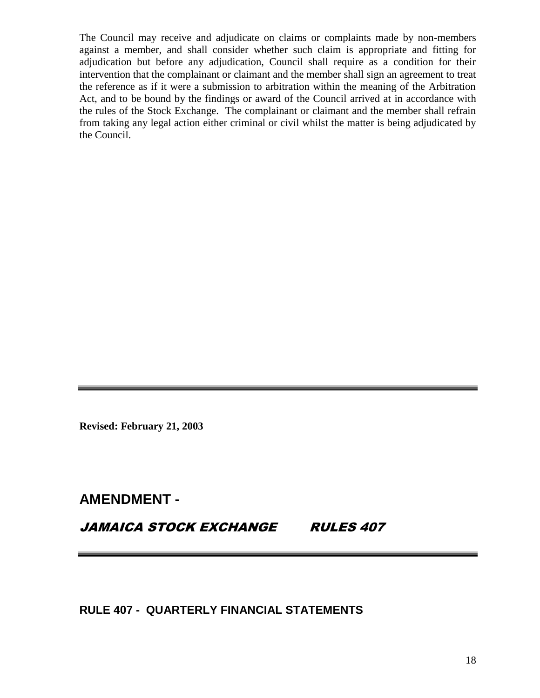The Council may receive and adjudicate on claims or complaints made by non-members against a member, and shall consider whether such claim is appropriate and fitting for adjudication but before any adjudication, Council shall require as a condition for their intervention that the complainant or claimant and the member shall sign an agreement to treat the reference as if it were a submission to arbitration within the meaning of the Arbitration Act, and to be bound by the findings or award of the Council arrived at in accordance with the rules of the Stock Exchange. The complainant or claimant and the member shall refrain from taking any legal action either criminal or civil whilst the matter is being adjudicated by the Council.

**Revised: February 21, 2003**

### **AMENDMENT -**

JAMAICA STOCK EXCHANGE RULES 407

**RULE 407 - QUARTERLY FINANCIAL STATEMENTS**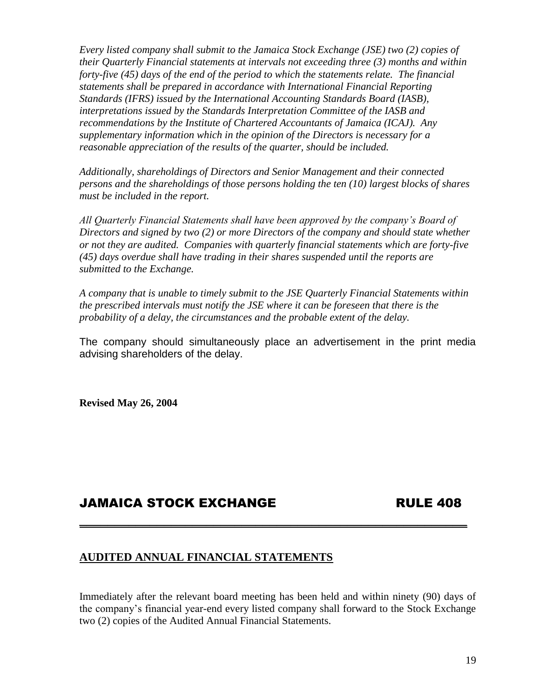*Every listed company shall submit to the Jamaica Stock Exchange (JSE) two (2) copies of their Quarterly Financial statements at intervals not exceeding three (3) months and within forty-five (45) days of the end of the period to which the statements relate. The financial statements shall be prepared in accordance with International Financial Reporting Standards (IFRS) issued by the International Accounting Standards Board (IASB), interpretations issued by the Standards Interpretation Committee of the IASB and recommendations by the Institute of Chartered Accountants of Jamaica (ICAJ). Any supplementary information which in the opinion of the Directors is necessary for a reasonable appreciation of the results of the quarter, should be included.*

*Additionally, shareholdings of Directors and Senior Management and their connected persons and the shareholdings of those persons holding the ten (10) largest blocks of shares must be included in the report.*

*All Quarterly Financial Statements shall have been approved by the company's Board of Directors and signed by two (2) or more Directors of the company and should state whether or not they are audited. Companies with quarterly financial statements which are forty-five (45) days overdue shall have trading in their shares suspended until the reports are submitted to the Exchange.*

*A company that is unable to timely submit to the JSE Quarterly Financial Statements within the prescribed intervals must notify the JSE where it can be foreseen that there is the probability of a delay, the circumstances and the probable extent of the delay.* 

The company should simultaneously place an advertisement in the print media advising shareholders of the delay.

**Revised May 26, 2004**

#### JAMAICA STOCK EXCHANGE RULE 408

#### **AUDITED ANNUAL FINANCIAL STATEMENTS**

Immediately after the relevant board meeting has been held and within ninety (90) days of the company's financial year-end every listed company shall forward to the Stock Exchange two (2) copies of the Audited Annual Financial Statements.

**\_\_\_\_\_\_\_\_\_\_\_\_\_\_\_\_\_\_\_\_\_\_\_\_\_\_\_\_\_\_\_\_\_\_\_\_\_\_\_\_\_\_\_\_\_\_\_\_\_\_\_\_\_\_\_**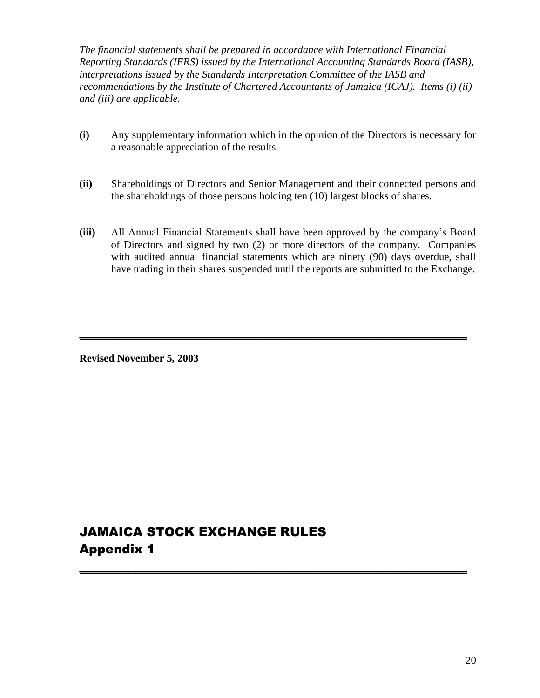*The financial statements shall be prepared in accordance with International Financial Reporting Standards (IFRS) issued by the International Accounting Standards Board (IASB), interpretations issued by the Standards Interpretation Committee of the IASB and recommendations by the Institute of Chartered Accountants of Jamaica (ICAJ). Items (i) (ii) and (iii) are applicable.*

- **(i)** Any supplementary information which in the opinion of the Directors is necessary for a reasonable appreciation of the results.
- **(ii)** Shareholdings of Directors and Senior Management and their connected persons and the shareholdings of those persons holding ten (10) largest blocks of shares.
- **(iii)** All Annual Financial Statements shall have been approved by the company's Board of Directors and signed by two (2) or more directors of the company. Companies with audited annual financial statements which are ninety (90) days overdue, shall have trading in their shares suspended until the reports are submitted to the Exchange.

**\_\_\_\_\_\_\_\_\_\_\_\_\_\_\_\_\_\_\_\_\_\_\_\_\_\_\_\_\_\_\_\_\_\_\_\_\_\_\_\_\_\_\_\_\_\_\_\_\_\_\_\_\_\_\_**

**\_\_\_\_\_\_\_\_\_\_\_\_\_\_\_\_\_\_\_\_\_\_\_\_\_\_\_\_\_\_\_\_\_\_\_\_\_\_\_\_\_\_\_\_\_\_\_\_\_\_\_\_\_\_\_**

**Revised November 5, 2003**

### JAMAICA STOCK EXCHANGE RULES Appendix 1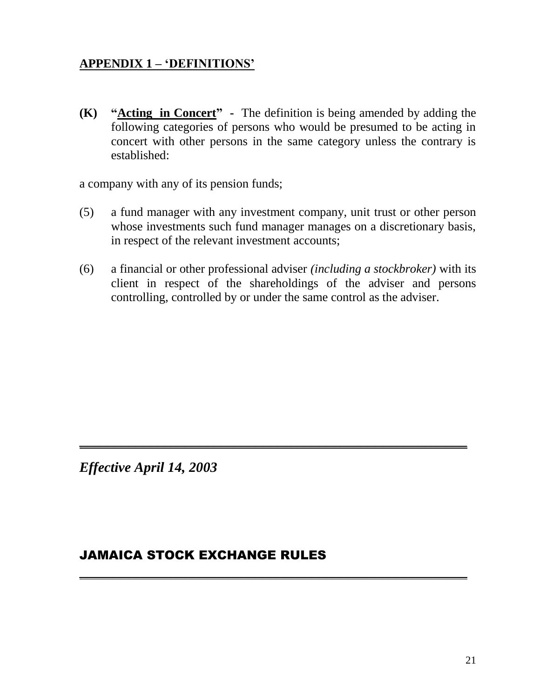### **APPENDIX 1 – 'DEFINITIONS'**

**(K) "Acting in Concert" -** The definition is being amended by adding the following categories of persons who would be presumed to be acting in concert with other persons in the same category unless the contrary is established:

a company with any of its pension funds;

- (5) a fund manager with any investment company, unit trust or other person whose investments such fund manager manages on a discretionary basis, in respect of the relevant investment accounts;
- (6) a financial or other professional adviser *(including a stockbroker)* with its client in respect of the shareholdings of the adviser and persons controlling, controlled by or under the same control as the adviser.

**\_\_\_\_\_\_\_\_\_\_\_\_\_\_\_\_\_\_\_\_\_\_\_\_\_\_\_\_\_\_\_\_\_\_\_\_\_\_\_\_\_\_\_\_\_\_\_\_\_\_\_\_\_\_\_**

**\_\_\_\_\_\_\_\_\_\_\_\_\_\_\_\_\_\_\_\_\_\_\_\_\_\_\_\_\_\_\_\_\_\_\_\_\_\_\_\_\_\_\_\_\_\_\_\_\_\_\_\_\_\_\_**

*Effective April 14, 2003*

#### JAMAICA STOCK EXCHANGE RULES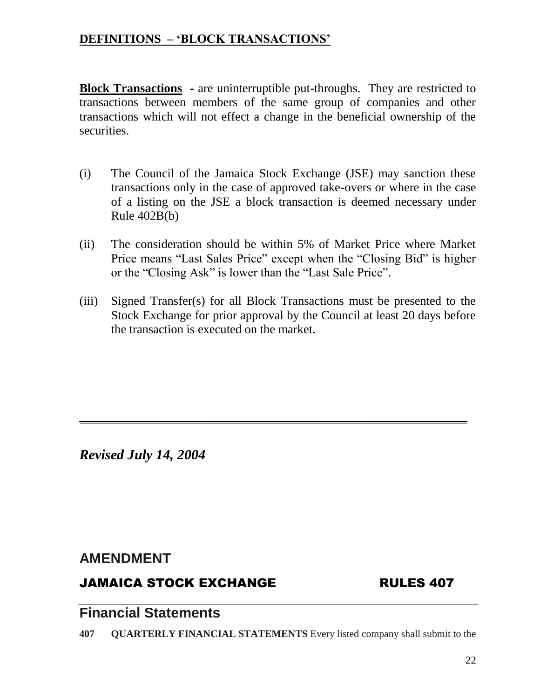### **DEFINITIONS – 'BLOCK TRANSACTIONS'**

**Block Transactions -** are uninterruptible put-throughs. They are restricted to transactions between members of the same group of companies and other transactions which will not effect a change in the beneficial ownership of the securities.

- (i) The Council of the Jamaica Stock Exchange (JSE) may sanction these transactions only in the case of approved take-overs or where in the case of a listing on the JSE a block transaction is deemed necessary under Rule 402B(b)
- (ii) The consideration should be within 5% of Market Price where Market Price means "Last Sales Price" except when the "Closing Bid" is higher or the "Closing Ask" is lower than the "Last Sale Price".
- (iii) Signed Transfer(s) for all Block Transactions must be presented to the Stock Exchange for prior approval by the Council at least 20 days before the transaction is executed on the market.

**\_\_\_\_\_\_\_\_\_\_\_\_\_\_\_\_\_\_\_\_\_\_\_\_\_\_\_\_\_\_\_\_\_\_\_\_\_\_\_\_\_\_\_\_\_\_\_\_\_\_\_\_\_\_\_**

*Revised July 14, 2004*

### **AMENDMENT**

### JAMAICA STOCK EXCHANGE RULES 407

### **Financial Statements**

**407 QUARTERLY FINANCIAL STATEMENTS** Every listed company shall submit to the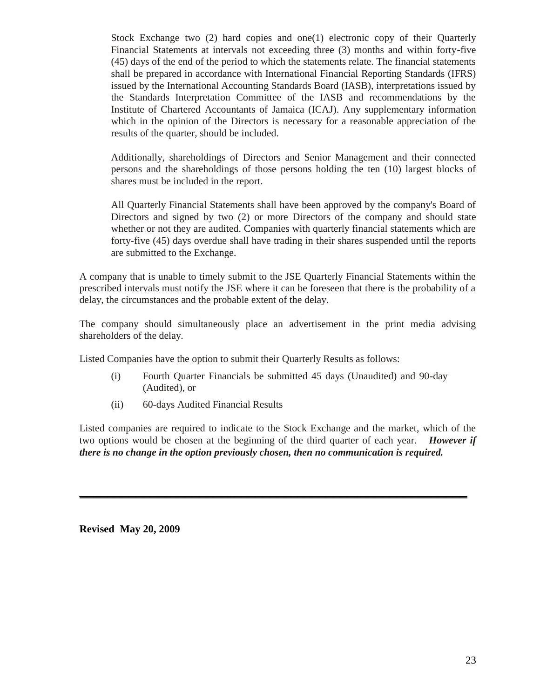Stock Exchange two (2) hard copies and one(1) electronic copy of their Quarterly Financial Statements at intervals not exceeding three (3) months and within forty-five (45) days of the end of the period to which the statements relate. The financial statements shall be prepared in accordance with International Financial Reporting Standards (IFRS) issued by the International Accounting Standards Board (IASB), interpretations issued by the Standards Interpretation Committee of the IASB and recommendations by the Institute of Chartered Accountants of Jamaica (ICAJ). Any supplementary information which in the opinion of the Directors is necessary for a reasonable appreciation of the results of the quarter, should be included.

Additionally, shareholdings of Directors and Senior Management and their connected persons and the shareholdings of those persons holding the ten (10) largest blocks of shares must be included in the report.

All Quarterly Financial Statements shall have been approved by the company's Board of Directors and signed by two (2) or more Directors of the company and should state whether or not they are audited. Companies with quarterly financial statements which are forty-five (45) days overdue shall have trading in their shares suspended until the reports are submitted to the Exchange.

A company that is unable to timely submit to the JSE Quarterly Financial Statements within the prescribed intervals must notify the JSE where it can be foreseen that there is the probability of a delay, the circumstances and the probable extent of the delay.

The company should simultaneously place an advertisement in the print media advising shareholders of the delay.

Listed Companies have the option to submit their Quarterly Results as follows:

- (i) Fourth Quarter Financials be submitted 45 days (Unaudited) and 90-day (Audited), or
- (ii) 60-days Audited Financial Results

Listed companies are required to indicate to the Stock Exchange and the market, which of the two options would be chosen at the beginning of the third quarter of each year. *However if there is no change in the option previously chosen, then no communication is required.*

**\_\_\_\_\_\_\_\_\_\_\_\_\_\_\_\_\_\_\_\_\_\_\_\_\_\_\_\_\_\_\_\_\_\_\_\_\_\_\_\_\_\_\_\_\_\_\_\_\_\_\_\_\_\_\_**

**Revised May 20, 2009**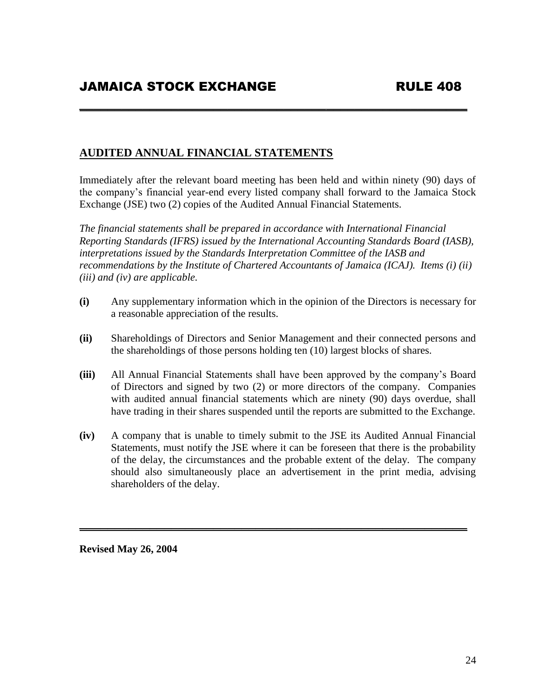#### **AUDITED ANNUAL FINANCIAL STATEMENTS**

Immediately after the relevant board meeting has been held and within ninety (90) days of the company's financial year-end every listed company shall forward to the Jamaica Stock Exchange (JSE) two (2) copies of the Audited Annual Financial Statements.

**\_\_\_\_\_\_\_\_\_\_\_\_\_\_\_\_\_\_\_\_\_\_\_\_\_\_\_\_\_\_\_\_\_\_\_\_\_\_\_\_\_\_\_\_\_\_\_\_\_\_\_\_\_\_\_**

*The financial statements shall be prepared in accordance with International Financial Reporting Standards (IFRS) issued by the International Accounting Standards Board (IASB), interpretations issued by the Standards Interpretation Committee of the IASB and recommendations by the Institute of Chartered Accountants of Jamaica (ICAJ). Items (i) (ii) (iii) and (iv) are applicable.*

- **(i)** Any supplementary information which in the opinion of the Directors is necessary for a reasonable appreciation of the results.
- **(ii)** Shareholdings of Directors and Senior Management and their connected persons and the shareholdings of those persons holding ten (10) largest blocks of shares.
- **(iii)** All Annual Financial Statements shall have been approved by the company's Board of Directors and signed by two (2) or more directors of the company. Companies with audited annual financial statements which are ninety (90) days overdue, shall have trading in their shares suspended until the reports are submitted to the Exchange.
- **(iv)** A company that is unable to timely submit to the JSE its Audited Annual Financial Statements, must notify the JSE where it can be foreseen that there is the probability of the delay, the circumstances and the probable extent of the delay. The company should also simultaneously place an advertisement in the print media, advising shareholders of the delay.

**\_\_\_\_\_\_\_\_\_\_\_\_\_\_\_\_\_\_\_\_\_\_\_\_\_\_\_\_\_\_\_\_\_\_\_\_\_\_\_\_\_\_\_\_\_\_\_\_\_\_\_\_\_\_\_**

**Revised May 26, 2004**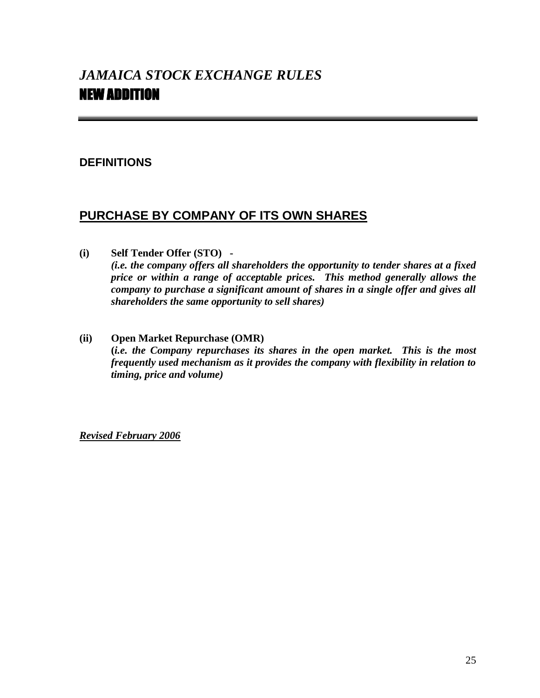#### **DEFINITIONS**

#### **PURCHASE BY COMPANY OF ITS OWN SHARES**

**(i) Self Tender Offer (STO) -**

*(i.e. the company offers all shareholders the opportunity to tender shares at a fixed price or within a range of acceptable prices. This method generally allows the company to purchase a significant amount of shares in a single offer and gives all shareholders the same opportunity to sell shares)*

**(ii) Open Market Repurchase (OMR) (***i.e. the Company repurchases its shares in the open market. This is the most frequently used mechanism as it provides the company with flexibility in relation to timing, price and volume)*

*Revised February 2006*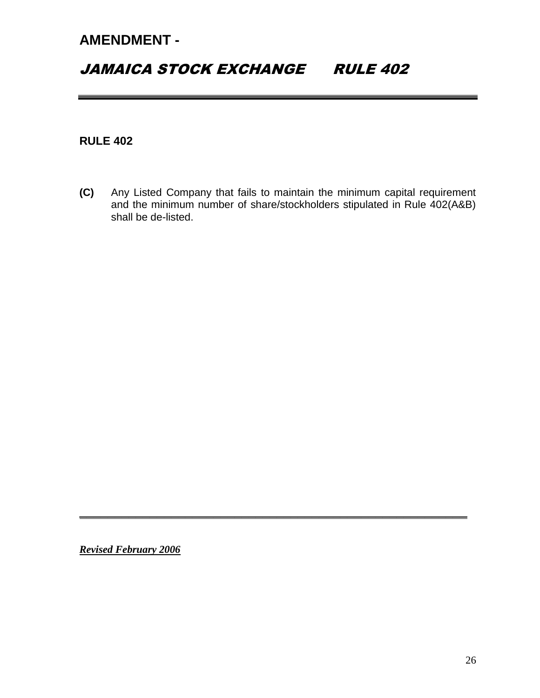### JAMAICA STOCK EXCHANGE RULE 402

#### **RULE 402**

**(C)** Any Listed Company that fails to maintain the minimum capital requirement and the minimum number of share/stockholders stipulated in Rule 402(A&B) shall be de-listed.

**\_\_\_\_\_\_\_\_\_\_\_\_\_\_\_\_\_\_\_\_\_\_\_\_\_\_\_\_\_\_\_\_\_\_\_\_\_\_\_\_\_\_\_\_\_\_\_\_\_\_\_\_\_\_\_**

*Revised February 2006*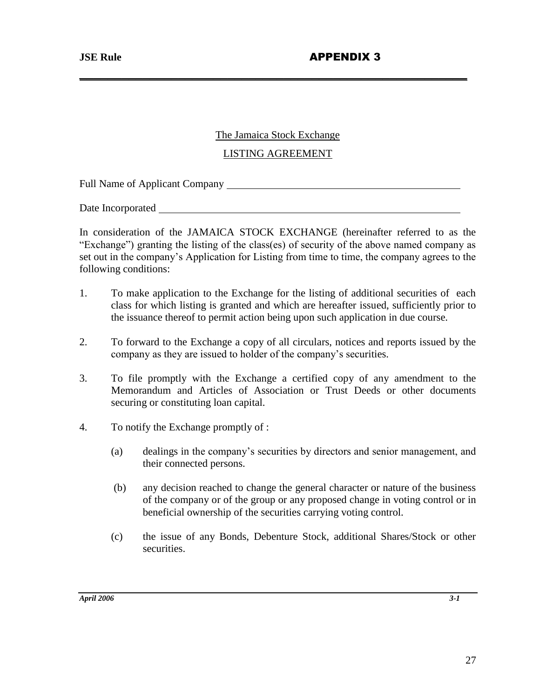#### The Jamaica Stock Exchange

**\_\_\_\_\_\_\_\_\_\_\_\_\_\_\_\_\_\_\_\_\_\_\_\_\_\_\_\_\_\_\_\_\_\_\_\_\_\_\_\_\_\_\_\_\_\_\_\_\_\_\_\_\_\_\_**

#### LISTING AGREEMENT

Full Name of Applicant Company

Date Incorporated

In consideration of the JAMAICA STOCK EXCHANGE (hereinafter referred to as the "Exchange") granting the listing of the class(es) of security of the above named company as set out in the company's Application for Listing from time to time, the company agrees to the following conditions:

- 1. To make application to the Exchange for the listing of additional securities of each class for which listing is granted and which are hereafter issued, sufficiently prior to the issuance thereof to permit action being upon such application in due course.
- 2. To forward to the Exchange a copy of all circulars, notices and reports issued by the company as they are issued to holder of the company's securities.
- 3. To file promptly with the Exchange a certified copy of any amendment to the Memorandum and Articles of Association or Trust Deeds or other documents securing or constituting loan capital.
- 4. To notify the Exchange promptly of :
	- (a) dealings in the company's securities by directors and senior management, and their connected persons.
	- (b) any decision reached to change the general character or nature of the business of the company or of the group or any proposed change in voting control or in beneficial ownership of the securities carrying voting control.
	- (c) the issue of any Bonds, Debenture Stock, additional Shares/Stock or other securities.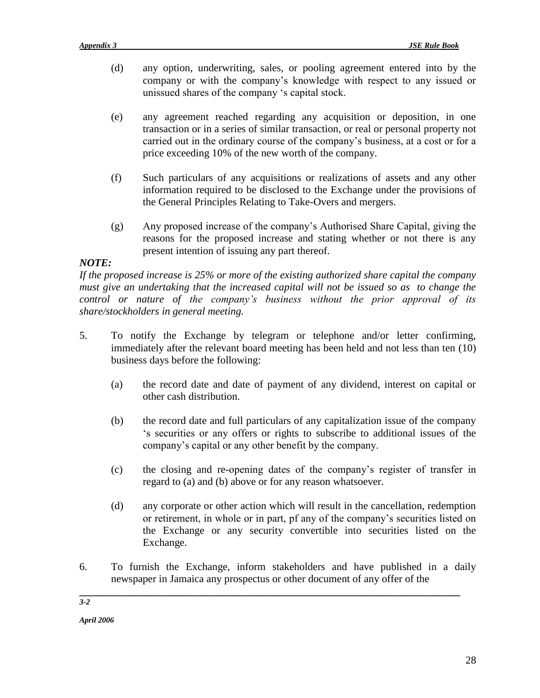- (d) any option, underwriting, sales, or pooling agreement entered into by the company or with the company's knowledge with respect to any issued or unissued shares of the company 's capital stock.
- (e) any agreement reached regarding any acquisition or deposition, in one transaction or in a series of similar transaction, or real or personal property not carried out in the ordinary course of the company's business, at a cost or for a price exceeding 10% of the new worth of the company.
- (f) Such particulars of any acquisitions or realizations of assets and any other information required to be disclosed to the Exchange under the provisions of the General Principles Relating to Take-Overs and mergers.
- (g) Any proposed increase of the company's Authorised Share Capital, giving the reasons for the proposed increase and stating whether or not there is any present intention of issuing any part thereof.

#### *NOTE:*

*If the proposed increase is 25% or more of the existing authorized share capital the company must give an undertaking that the increased capital will not be issued so as to change the control or nature of the company's business without the prior approval of its share/stockholders in general meeting.*

- 5. To notify the Exchange by telegram or telephone and/or letter confirming, immediately after the relevant board meeting has been held and not less than ten (10) business days before the following:
	- (a) the record date and date of payment of any dividend, interest on capital or other cash distribution.
	- (b) the record date and full particulars of any capitalization issue of the company 's securities or any offers or rights to subscribe to additional issues of the company's capital or any other benefit by the company.
	- (c) the closing and re-opening dates of the company's register of transfer in regard to (a) and (b) above or for any reason whatsoever.
	- (d) any corporate or other action which will result in the cancellation, redemption or retirement, in whole or in part, pf any of the company's securities listed on the Exchange or any security convertible into securities listed on the Exchange.
- 6. To furnish the Exchange, inform stakeholders and have published in a daily newspaper in Jamaica any prospectus or other document of any offer of the

**\_\_\_\_\_\_\_\_\_\_\_\_\_\_\_\_\_\_\_\_\_\_\_\_\_\_\_\_\_\_\_\_\_\_\_\_\_\_\_\_\_\_\_\_\_\_\_\_\_\_\_\_\_\_\_\_\_\_\_\_\_\_\_\_\_\_\_\_\_\_\_\_**

*April 2006*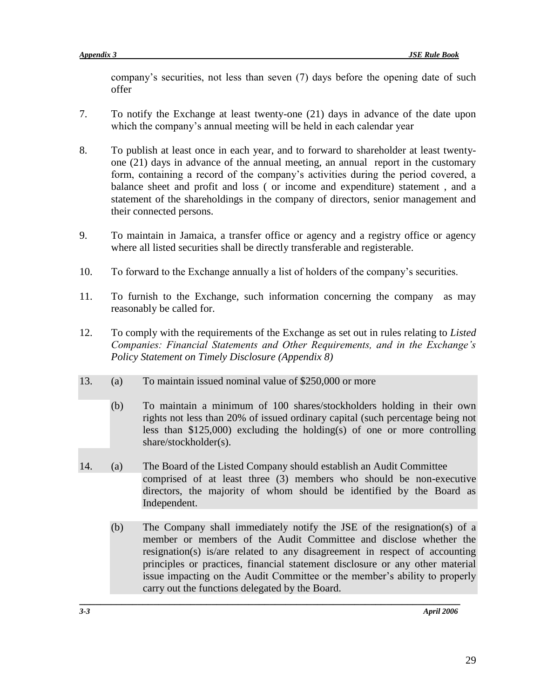company's securities, not less than seven (7) days before the opening date of such offer

- 7. To notify the Exchange at least twenty-one (21) days in advance of the date upon which the company's annual meeting will be held in each calendar year
- 8. To publish at least once in each year, and to forward to shareholder at least twentyone (21) days in advance of the annual meeting, an annual report in the customary form, containing a record of the company's activities during the period covered, a balance sheet and profit and loss ( or income and expenditure) statement , and a statement of the shareholdings in the company of directors, senior management and their connected persons.
- 9. To maintain in Jamaica, a transfer office or agency and a registry office or agency where all listed securities shall be directly transferable and registerable.
- 10. To forward to the Exchange annually a list of holders of the company's securities.
- 11. To furnish to the Exchange, such information concerning the company as may reasonably be called for.
- 12. To comply with the requirements of the Exchange as set out in rules relating to *Listed Companies: Financial Statements and Other Requirements, and in the Exchange's Policy Statement on Timely Disclosure (Appendix 8)*
- 13. (a) To maintain issued nominal value of \$250,000 or more
	- (b) To maintain a minimum of 100 shares/stockholders holding in their own rights not less than 20% of issued ordinary capital (such percentage being not less than \$125,000) excluding the holding(s) of one or more controlling share/stockholder(s).
- 14. (a) The Board of the Listed Company should establish an Audit Committee comprised of at least three (3) members who should be non-executive directors, the majority of whom should be identified by the Board as Independent.

**\_\_\_\_\_\_\_\_\_\_\_\_\_\_\_\_\_\_\_\_\_\_\_\_\_\_\_\_\_\_\_\_\_\_\_\_\_\_\_\_\_\_\_\_\_\_\_\_\_\_\_\_\_\_\_\_\_\_\_\_\_\_\_\_\_\_\_\_\_\_\_\_**

(b) The Company shall immediately notify the JSE of the resignation(s) of a member or members of the Audit Committee and disclose whether the resignation(s) is/are related to any disagreement in respect of accounting principles or practices, financial statement disclosure or any other material issue impacting on the Audit Committee or the member's ability to properly carry out the functions delegated by the Board.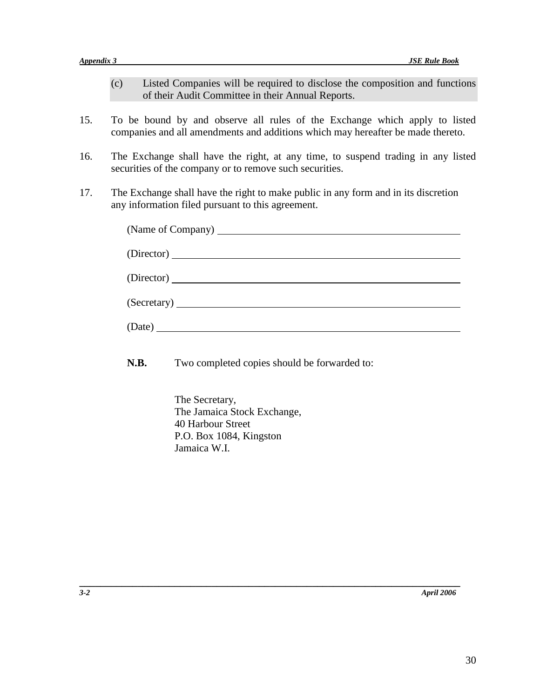- (c) Listed Companies will be required to disclose the composition and functions of their Audit Committee in their Annual Reports.
- 15. To be bound by and observe all rules of the Exchange which apply to listed companies and all amendments and additions which may hereafter be made thereto.
- 16. The Exchange shall have the right, at any time, to suspend trading in any listed securities of the company or to remove such securities.
- 17. The Exchange shall have the right to make public in any form and in its discretion any information filed pursuant to this agreement.

| (Director) |
|------------|
|            |
| (Director) |
|            |
|            |
|            |
|            |

**N.B.** Two completed copies should be forwarded to:

**\_\_\_\_\_\_\_\_\_\_\_\_\_\_\_\_\_\_\_\_\_\_\_\_\_\_\_\_\_\_\_\_\_\_\_\_\_\_\_\_\_\_\_\_\_\_\_\_\_\_\_\_\_\_\_\_\_\_\_\_\_\_\_\_\_\_\_\_\_\_\_\_**

The Secretary, The Jamaica Stock Exchange, 40 Harbour Street P.O. Box 1084, Kingston Jamaica W.I.

*3-2 April 2006*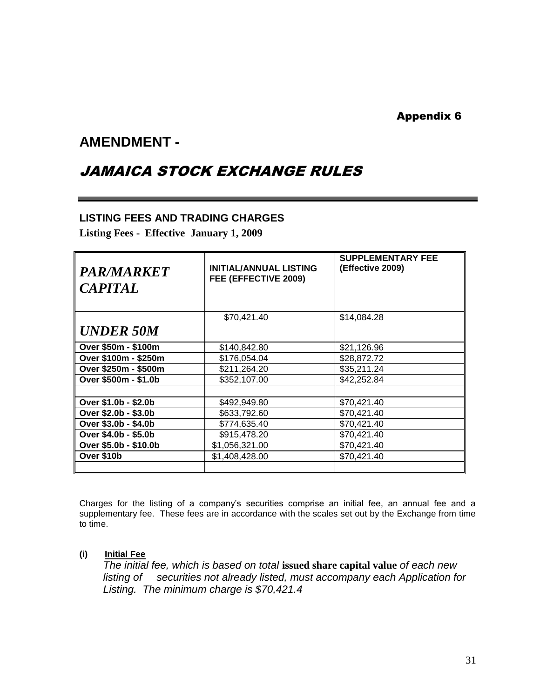#### Appendix 6

### **AMENDMENT -**

### JAMAICA STOCK EXCHANGE RULES

#### **LISTING FEES AND TRADING CHARGES**

**Listing Fees - Effective January 1, 2009**

| <i><b>PAR/MARKET</b></i> | <b>INITIAL/ANNUAL LISTING</b> | <b>SUPPLEMENTARY FEE</b><br>(Effective 2009) |
|--------------------------|-------------------------------|----------------------------------------------|
|                          | FEE (EFFECTIVE 2009)          |                                              |
| <b>CAPITAL</b>           |                               |                                              |
|                          |                               |                                              |
|                          | \$70,421.40                   | \$14,084.28                                  |
| <b>UNDER 50M</b>         |                               |                                              |
| Over \$50m - \$100m      | \$140,842.80                  | \$21,126.96                                  |
| Over \$100m - \$250m     | \$176,054.04                  | \$28,872.72                                  |
| Over \$250m - \$500m     | \$211,264.20                  | \$35,211.24                                  |
| Over \$500m - \$1.0b     | \$352,107.00                  | \$42,252.84                                  |
|                          |                               |                                              |
| Over \$1.0b - \$2.0b     | \$492,949.80                  | \$70,421.40                                  |
| Over \$2.0b - \$3.0b     | \$633,792.60                  | \$70,421.40                                  |
| Over \$3.0b - \$4.0b     | \$774,635.40                  | \$70,421.40                                  |
| Over \$4.0b - \$5.0b     | \$915,478.20                  | \$70,421.40                                  |
| Over \$5.0b - \$10.0b    | \$1,056,321.00                | \$70,421.40                                  |
| Over \$10b               | \$1,408,428.00                | \$70,421.40                                  |
|                          |                               |                                              |

Charges for the listing of a company's securities comprise an initial fee, an annual fee and a supplementary fee. These fees are in accordance with the scales set out by the Exchange from time to time.

#### **(i) Initial Fee**

*The initial fee, which is based on total* **issued share capital value** *of each new listing of securities not already listed, must accompany each Application for Listing. The minimum charge is \$70,421.4*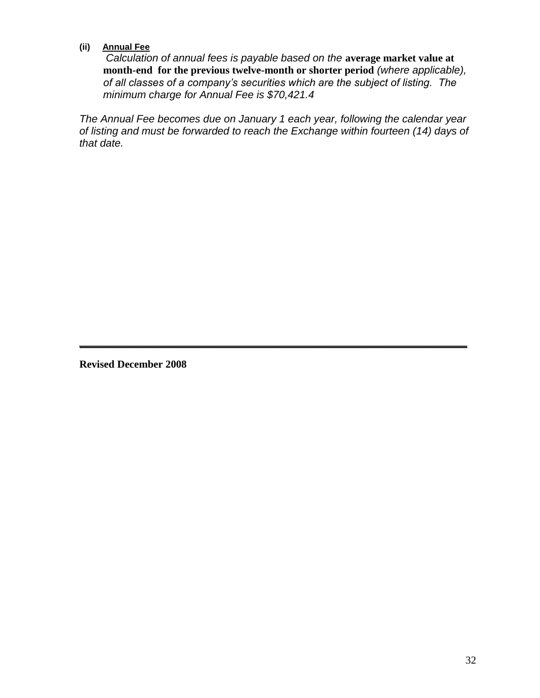#### **(ii) Annual Fee**

 *Calculation of annual fees is payable based on the* **average market value at month-end for the previous twelve-month or shorter period** *(where applicable), of all classes of a company's securities which are the subject of listing. The minimum charge for Annual Fee is \$70,421.4*

*The Annual Fee becomes due on January 1 each year, following the calendar year of listing and must be forwarded to reach the Exchange within fourteen (14) days of that date.*

**\_\_\_\_\_\_\_\_\_\_\_\_\_\_\_\_\_\_\_\_\_\_\_\_\_\_\_\_\_\_\_\_\_\_\_\_\_\_\_\_\_\_\_\_\_\_\_\_\_\_\_\_\_\_\_**

**Revised December 2008**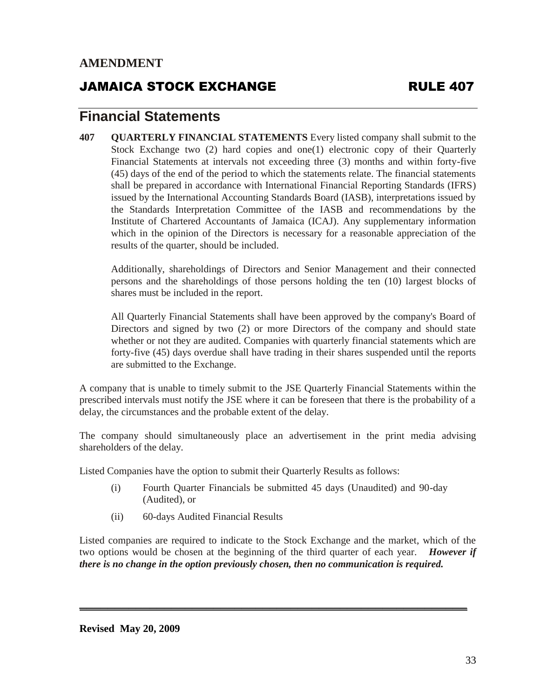### JAMAICA STOCK EXCHANGE RULE 407

### **Financial Statements**

**407 QUARTERLY FINANCIAL STATEMENTS** Every listed company shall submit to the Stock Exchange two (2) hard copies and one(1) electronic copy of their Quarterly Financial Statements at intervals not exceeding three (3) months and within forty-five (45) days of the end of the period to which the statements relate. The financial statements shall be prepared in accordance with International Financial Reporting Standards (IFRS) issued by the International Accounting Standards Board (IASB), interpretations issued by the Standards Interpretation Committee of the IASB and recommendations by the Institute of Chartered Accountants of Jamaica (ICAJ). Any supplementary information which in the opinion of the Directors is necessary for a reasonable appreciation of the results of the quarter, should be included.

Additionally, shareholdings of Directors and Senior Management and their connected persons and the shareholdings of those persons holding the ten (10) largest blocks of shares must be included in the report.

All Quarterly Financial Statements shall have been approved by the company's Board of Directors and signed by two (2) or more Directors of the company and should state whether or not they are audited. Companies with quarterly financial statements which are forty-five (45) days overdue shall have trading in their shares suspended until the reports are submitted to the Exchange.

A company that is unable to timely submit to the JSE Quarterly Financial Statements within the prescribed intervals must notify the JSE where it can be foreseen that there is the probability of a delay, the circumstances and the probable extent of the delay.

The company should simultaneously place an advertisement in the print media advising shareholders of the delay.

Listed Companies have the option to submit their Quarterly Results as follows:

- (i) Fourth Quarter Financials be submitted 45 days (Unaudited) and 90-day (Audited), or
- (ii) 60-days Audited Financial Results

Listed companies are required to indicate to the Stock Exchange and the market, which of the two options would be chosen at the beginning of the third quarter of each year. *However if there is no change in the option previously chosen, then no communication is required.*

**\_\_\_\_\_\_\_\_\_\_\_\_\_\_\_\_\_\_\_\_\_\_\_\_\_\_\_\_\_\_\_\_\_\_\_\_\_\_\_\_\_\_\_\_\_\_\_\_\_\_\_\_\_\_\_**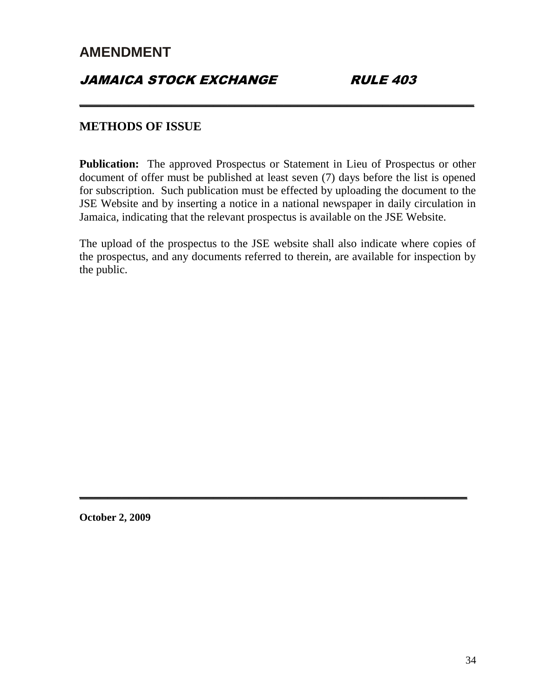### **JAMAICA STOCK EXCHANGE RULE 403**

#### **METHODS OF ISSUE**

**Publication:** The approved Prospectus or Statement in Lieu of Prospectus or other document of offer must be published at least seven (7) days before the list is opened for subscription. Such publication must be effected by uploading the document to the JSE Website and by inserting a notice in a national newspaper in daily circulation in Jamaica, indicating that the relevant prospectus is available on the JSE Website.

**\_\_\_\_\_\_\_\_\_\_\_\_\_\_\_\_\_\_\_\_\_\_\_\_\_\_\_\_\_\_\_\_\_\_\_\_\_\_\_\_\_\_\_\_\_\_\_\_\_\_\_\_\_\_\_\_**

The upload of the prospectus to the JSE website shall also indicate where copies of the prospectus, and any documents referred to therein, are available for inspection by the public.

**\_\_\_\_\_\_\_\_\_\_\_\_\_\_\_\_\_\_\_\_\_\_\_\_\_\_\_\_\_\_\_\_\_\_\_\_\_\_\_\_\_\_\_\_\_\_\_\_\_\_\_\_\_\_\_**

**October 2, 2009**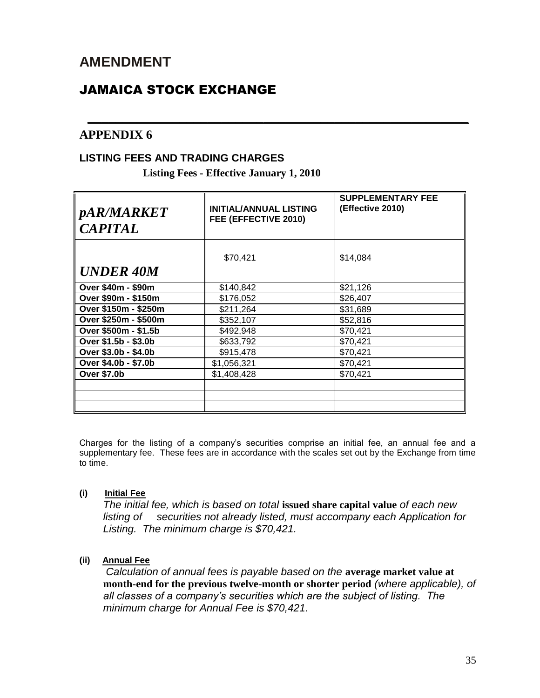### JAMAICA STOCK EXCHANGE

#### **APPENDIX 6**

#### **LISTING FEES AND TRADING CHARGES**

**Listing Fees - Effective January 1, 2010**

| <i>pAR/MARKET</i><br><b>CAPITAL</b> | <b>INITIAL/ANNUAL LISTING</b><br>FEE (EFFECTIVE 2010) | <b>SUPPLEMENTARY FEE</b><br>(Effective 2010) |
|-------------------------------------|-------------------------------------------------------|----------------------------------------------|
|                                     |                                                       |                                              |
|                                     | \$70,421                                              | \$14,084                                     |
| <b>UNDER 40M</b>                    |                                                       |                                              |
| Over \$40m - \$90m                  | \$140,842                                             | \$21,126                                     |
| Over \$90m - \$150m                 | \$176,052                                             | \$26,407                                     |
| Over \$150m - \$250m                | \$211,264                                             | \$31,689                                     |
| Over \$250m - \$500m                | \$352,107                                             | \$52,816                                     |
| Over \$500m - \$1.5b                | \$492,948                                             | \$70,421                                     |
| Over \$1.5b - \$3.0b                | \$633,792                                             | \$70,421                                     |
| Over \$3.0b - \$4.0b                | \$915,478                                             | \$70,421                                     |
| Over \$4.0b - \$7.0b                | \$1,056,321                                           | \$70,421                                     |
| <b>Over \$7.0b</b>                  | \$1,408,428                                           | \$70,421                                     |
|                                     |                                                       |                                              |
|                                     |                                                       |                                              |
|                                     |                                                       |                                              |

*\_\_\_\_\_\_\_\_\_\_\_\_\_\_\_\_\_\_\_\_\_\_\_\_\_\_\_\_\_\_\_\_\_\_\_\_\_\_\_\_\_\_\_\_\_\_\_\_\_\_\_\_\_\_*

Charges for the listing of a company's securities comprise an initial fee, an annual fee and a supplementary fee. These fees are in accordance with the scales set out by the Exchange from time to time.

#### **(i) Initial Fee**

*The initial fee, which is based on total* **issued share capital value** *of each new listing of securities not already listed, must accompany each Application for Listing. The minimum charge is \$70,421.*

#### **(ii) Annual Fee**

 *Calculation of annual fees is payable based on the* **average market value at month-end for the previous twelve-month or shorter period** *(where applicable), of all classes of a company's securities which are the subject of listing. The minimum charge for Annual Fee is \$70,421.*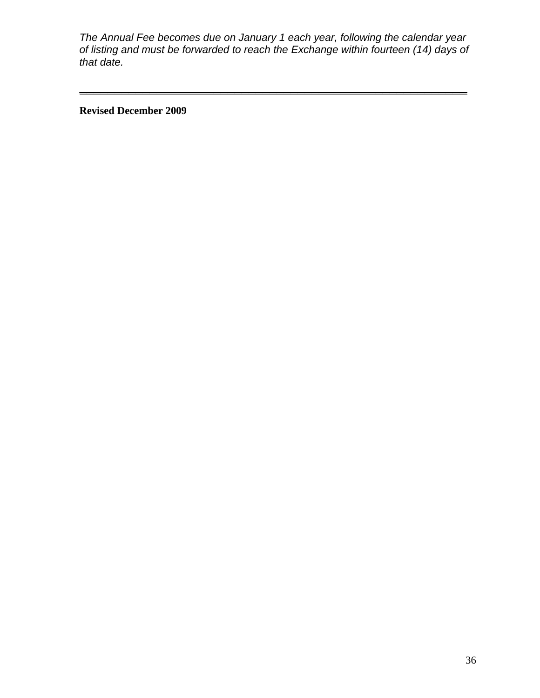*The Annual Fee becomes due on January 1 each year, following the calendar year of listing and must be forwarded to reach the Exchange within fourteen (14) days of that date.*

**\_\_\_\_\_\_\_\_\_\_\_\_\_\_\_\_\_\_\_\_\_\_\_\_\_\_\_\_\_\_\_\_\_\_\_\_\_\_\_\_\_\_\_\_\_\_\_\_\_\_\_\_\_\_\_**

**Revised December 2009**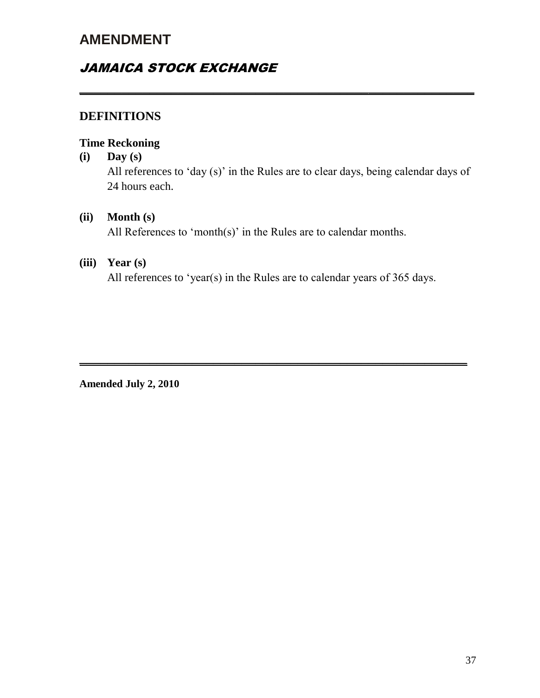### JAMAICA STOCK EXCHANGE

### **DEFINITIONS**

#### **Time Reckoning**

#### **(i) Day (s)**

All references to 'day (s)' in the Rules are to clear days, being calendar days of 24 hours each.

**\_\_\_\_\_\_\_\_\_\_\_\_\_\_\_\_\_\_\_\_\_\_\_\_\_\_\_\_\_\_\_\_\_\_\_\_\_\_\_\_\_\_\_\_\_\_\_\_\_\_\_\_\_\_\_\_**

#### **(ii) Month (s)**

All References to 'month(s)' in the Rules are to calendar months.

#### **(iii) Year (s)**

All references to 'year(s) in the Rules are to calendar years of 365 days.

**\_\_\_\_\_\_\_\_\_\_\_\_\_\_\_\_\_\_\_\_\_\_\_\_\_\_\_\_\_\_\_\_\_\_\_\_\_\_\_\_\_\_\_\_\_\_\_\_\_\_\_\_\_\_\_**

**Amended July 2, 2010**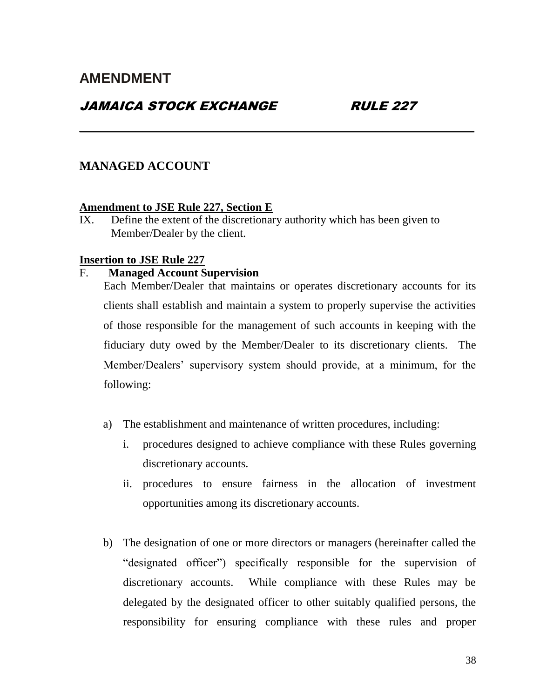### JAMAICA STOCK EXCHANGE RULE 227

#### **MANAGED ACCOUNT**

#### **Amendment to JSE Rule 227, Section E**

IX. Define the extent of the discretionary authority which has been given to Member/Dealer by the client.

**\_\_\_\_\_\_\_\_\_\_\_\_\_\_\_\_\_\_\_\_\_\_\_\_\_\_\_\_\_\_\_\_\_\_\_\_\_\_\_\_\_\_\_\_\_\_\_\_\_\_\_\_\_\_\_\_**

#### **Insertion to JSE Rule 227**

#### F. **Managed Account Supervision**

Each Member/Dealer that maintains or operates discretionary accounts for its clients shall establish and maintain a system to properly supervise the activities of those responsible for the management of such accounts in keeping with the fiduciary duty owed by the Member/Dealer to its discretionary clients. The Member/Dealers' supervisory system should provide, at a minimum, for the following:

- a) The establishment and maintenance of written procedures, including:
	- i. procedures designed to achieve compliance with these Rules governing discretionary accounts.
	- ii. procedures to ensure fairness in the allocation of investment opportunities among its discretionary accounts.
- b) The designation of one or more directors or managers (hereinafter called the "designated officer") specifically responsible for the supervision of discretionary accounts. While compliance with these Rules may be delegated by the designated officer to other suitably qualified persons, the responsibility for ensuring compliance with these rules and proper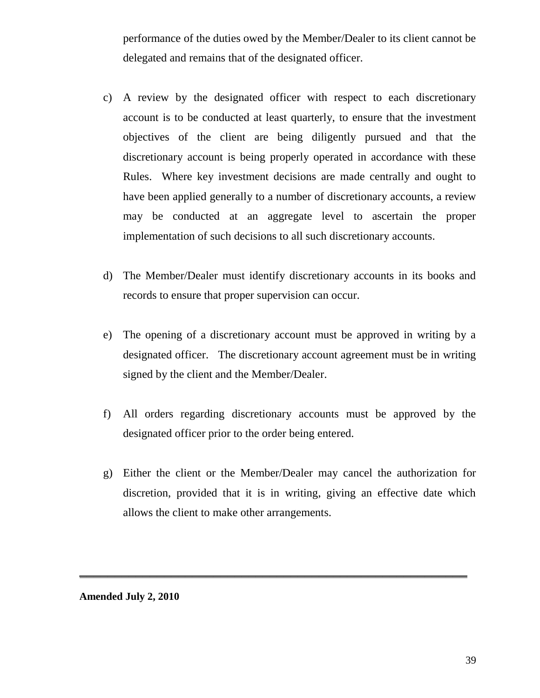performance of the duties owed by the Member/Dealer to its client cannot be delegated and remains that of the designated officer.

- c) A review by the designated officer with respect to each discretionary account is to be conducted at least quarterly, to ensure that the investment objectives of the client are being diligently pursued and that the discretionary account is being properly operated in accordance with these Rules. Where key investment decisions are made centrally and ought to have been applied generally to a number of discretionary accounts, a review may be conducted at an aggregate level to ascertain the proper implementation of such decisions to all such discretionary accounts.
- d) The Member/Dealer must identify discretionary accounts in its books and records to ensure that proper supervision can occur.
- e) The opening of a discretionary account must be approved in writing by a designated officer. The discretionary account agreement must be in writing signed by the client and the Member/Dealer.
- f) All orders regarding discretionary accounts must be approved by the designated officer prior to the order being entered.
- g) Either the client or the Member/Dealer may cancel the authorization for discretion, provided that it is in writing, giving an effective date which allows the client to make other arrangements.

**\_\_\_\_\_\_\_\_\_\_\_\_\_\_\_\_\_\_\_\_\_\_\_\_\_\_\_\_\_\_\_\_\_\_\_\_\_\_\_\_\_\_\_\_\_\_\_\_\_\_\_\_\_\_\_**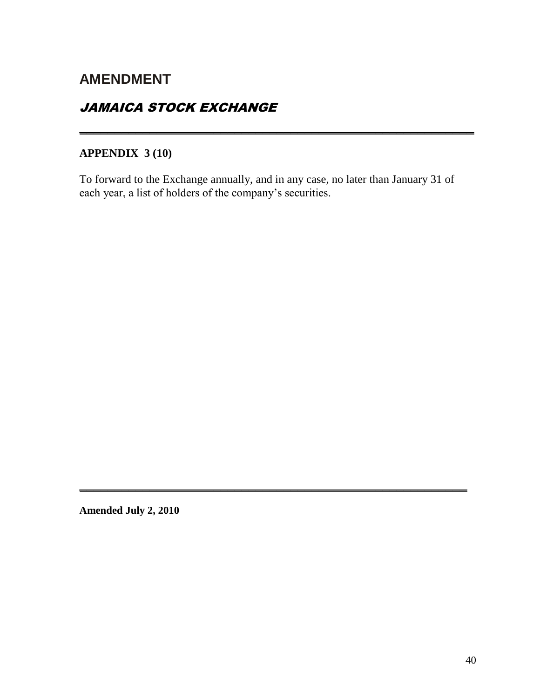### JAMAICA STOCK EXCHANGE

### **APPENDIX 3 (10)**

To forward to the Exchange annually, and in any case, no later than January 31 of each year, a list of holders of the company's securities.

**\_\_\_\_\_\_\_\_\_\_\_\_\_\_\_\_\_\_\_\_\_\_\_\_\_\_\_\_\_\_\_\_\_\_\_\_\_\_\_\_\_\_\_\_\_\_\_\_\_\_\_\_\_\_\_**

**\_\_\_\_\_\_\_\_\_\_\_\_\_\_\_\_\_\_\_\_\_\_\_\_\_\_\_\_\_\_\_\_\_\_\_\_\_\_\_\_\_\_\_\_\_\_\_\_\_\_\_\_\_\_\_\_**

**Amended July 2, 2010**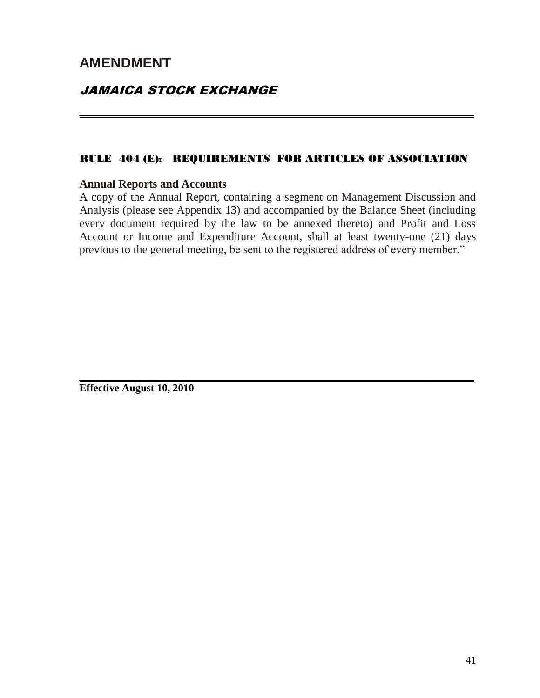### JAMAICA STOCK EXCHANGE

#### RULE 404 (E): REQUIREMENTS FOR ARTICLES OF ASSOCIATION

**\_\_\_\_\_\_\_\_\_\_\_\_\_\_\_\_\_\_\_\_\_\_\_\_\_\_\_\_\_\_\_\_\_\_\_\_\_\_\_\_\_\_\_\_\_\_\_\_\_\_\_\_\_\_\_\_**

#### **Annual Reports and Accounts**

A copy of the Annual Report, containing a segment on Management Discussion and Analysis (please see Appendix 13) and accompanied by the Balance Sheet (including every document required by the law to be annexed thereto) and Profit and Loss Account or Income and Expenditure Account, shall at least twenty-one (21) days previous to the general meeting, be sent to the registered address of every member."

**\_\_\_\_\_\_\_\_\_\_\_\_\_\_\_\_\_\_\_\_\_\_\_\_\_\_\_\_\_\_\_\_\_\_\_\_\_\_\_\_\_\_\_\_\_\_\_\_\_\_\_\_\_\_\_\_**

**Effective August 10, 2010**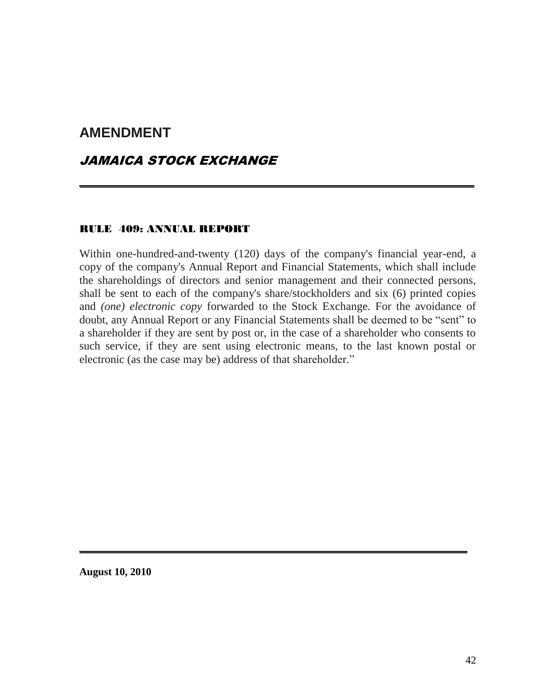#### JAMAICA STOCK EXCHANGE

#### RULE 409: ANNUAL REPORT

Within one-hundred-and-twenty (120) days of the company's financial year-end, a copy of the company's Annual Report and Financial Statements, which shall include the shareholdings of directors and senior management and their connected persons, shall be sent to each of the company's share/stockholders and six (6) printed copies and *(one) electronic copy* forwarded to the Stock Exchange. For the avoidance of doubt, any Annual Report or any Financial Statements shall be deemed to be "sent" to a shareholder if they are sent by post or, in the case of a shareholder who consents to such service, if they are sent using electronic means, to the last known postal or electronic (as the case may be) address of that shareholder."

**\_\_\_\_\_\_\_\_\_\_\_\_\_\_\_\_\_\_\_\_\_\_\_\_\_\_\_\_\_\_\_\_\_\_\_\_\_\_\_\_\_\_\_\_\_\_\_\_\_\_\_\_\_\_\_**

**\_\_\_\_\_\_\_\_\_\_\_\_\_\_\_\_\_\_\_\_\_\_\_\_\_\_\_\_\_\_\_\_\_\_\_\_\_\_\_\_\_\_\_\_\_\_\_\_\_\_\_\_\_\_\_\_**

**August 10, 2010**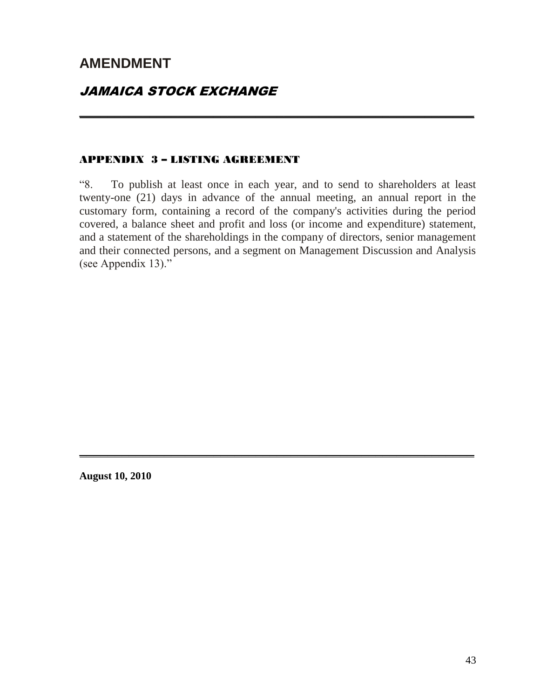### JAMAICA STOCK EXCHANGE

#### APPENDIX 3 – LISTING AGREEMENT

"8. To publish at least once in each year, and to send to shareholders at least twenty-one (21) days in advance of the annual meeting, an annual report in the customary form, containing a record of the company's activities during the period covered, a balance sheet and profit and loss (or income and expenditure) statement, and a statement of the shareholdings in the company of directors, senior management and their connected persons, and a segment on Management Discussion and Analysis (see Appendix 13)."

**\_\_\_\_\_\_\_\_\_\_\_\_\_\_\_\_\_\_\_\_\_\_\_\_\_\_\_\_\_\_\_\_\_\_\_\_\_\_\_\_\_\_\_\_\_\_\_\_\_\_\_\_\_\_\_\_**

**\_\_\_\_\_\_\_\_\_\_\_\_\_\_\_\_\_\_\_\_\_\_\_\_\_\_\_\_\_\_\_\_\_\_\_\_\_\_\_\_\_\_\_\_\_\_\_\_\_\_\_\_\_\_\_\_**

**August 10, 2010**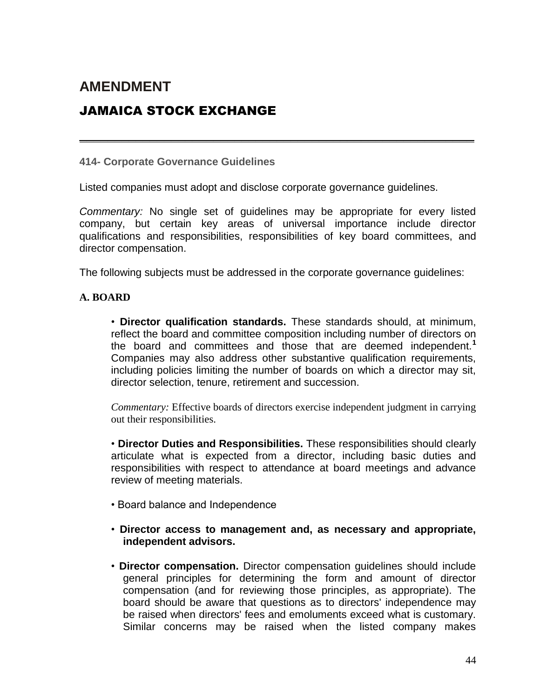### JAMAICA STOCK EXCHANGE

**414- Corporate Governance Guidelines**

Listed companies must adopt and disclose corporate governance guidelines.

*Commentary:* No single set of guidelines may be appropriate for every listed company, but certain key areas of universal importance include director qualifications and responsibilities, responsibilities of key board committees, and director compensation.

**\_\_\_\_\_\_\_\_\_\_\_\_\_\_\_\_\_\_\_\_\_\_\_\_\_\_\_\_\_\_\_\_\_\_\_\_\_\_\_\_\_\_\_\_\_\_\_\_\_\_\_\_\_\_\_\_**

The following subjects must be addressed in the corporate governance guidelines:

#### **A. BOARD**

• **Director qualification standards.** These standards should, at minimum, reflect the board and committee composition including number of directors on the board and committees and those that are deemed independent.**<sup>1</sup>** Companies may also address other substantive qualification requirements, including policies limiting the number of boards on which a director may sit, director selection, tenure, retirement and succession.

*Commentary:* Effective boards of directors exercise independent judgment in carrying out their responsibilities.

• **Director Duties and Responsibilities.** These responsibilities should clearly articulate what is expected from a director, including basic duties and responsibilities with respect to attendance at board meetings and advance review of meeting materials.

- Board balance and Independence
- **Director access to management and, as necessary and appropriate, independent advisors.**
- **Director compensation.** Director compensation guidelines should include general principles for determining the form and amount of director compensation (and for reviewing those principles, as appropriate). The board should be aware that questions as to directors' independence may be raised when directors' fees and emoluments exceed what is customary. Similar concerns may be raised when the listed company makes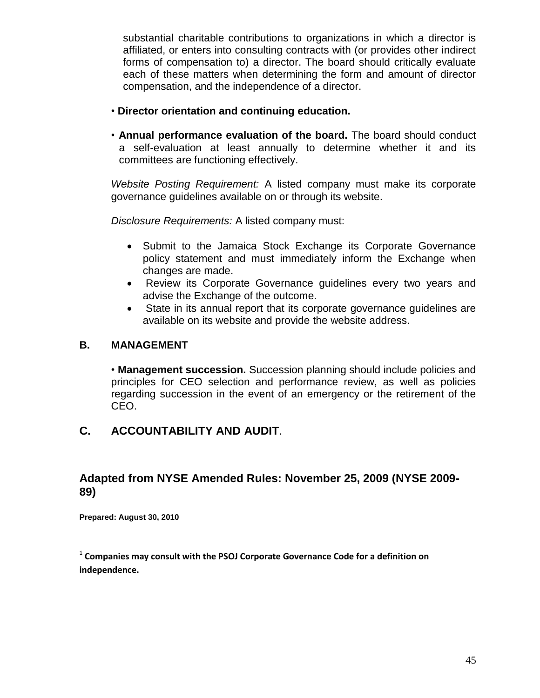substantial charitable contributions to organizations in which a director is affiliated, or enters into consulting contracts with (or provides other indirect forms of compensation to) a director. The board should critically evaluate each of these matters when determining the form and amount of director compensation, and the independence of a director.

- **Director orientation and continuing education.**
- **Annual performance evaluation of the board.** The board should conduct a self-evaluation at least annually to determine whether it and its committees are functioning effectively.

*Website Posting Requirement:* A listed company must make its corporate governance guidelines available on or through its website.

*Disclosure Requirements:* A listed company must:

- Submit to the Jamaica Stock Exchange its Corporate Governance policy statement and must immediately inform the Exchange when changes are made.
- Review its Corporate Governance guidelines every two years and advise the Exchange of the outcome.
- State in its annual report that its corporate governance guidelines are available on its website and provide the website address.

#### **B. MANAGEMENT**

• **Management succession.** Succession planning should include policies and principles for CEO selection and performance review, as well as policies regarding succession in the event of an emergency or the retirement of the CEO.

#### **C. ACCOUNTABILITY AND AUDIT**.

#### **Adapted from NYSE Amended Rules: November 25, 2009 (NYSE 2009- 89)**

**Prepared: August 30, 2010**

<sup>1</sup> Companies may consult with the PSOJ Corporate Governance Code for a definition on **independence.**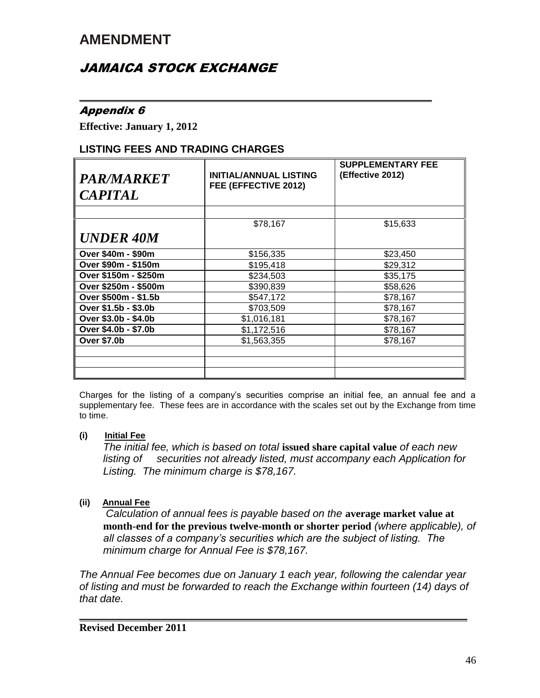### JAMAICA STOCK EXCHANGE

#### Appendix 6

**Effective: January 1, 2012** 

#### **LISTING FEES AND TRADING CHARGES**

| <b>PAR/MARKET</b><br><b>CAPITAL</b> | <b>INITIAL/ANNUAL LISTING</b><br>FEE (EFFECTIVE 2012) | <b>SUPPLEMENTARY FEE</b><br>(Effective 2012) |
|-------------------------------------|-------------------------------------------------------|----------------------------------------------|
| <b>UNDER 40M</b>                    | \$78,167                                              | \$15,633                                     |
| Over \$40m - \$90m                  | \$156,335                                             | \$23,450                                     |
| Over \$90m - \$150m                 | \$195,418                                             | \$29,312                                     |
| Over \$150m - \$250m                | \$234,503                                             | \$35,175                                     |
| Over \$250m - \$500m                | \$390,839                                             | \$58,626                                     |
| Over \$500m - \$1.5b                | \$547,172                                             | \$78,167                                     |
| Over \$1.5b - \$3.0b                | \$703,509                                             | \$78,167                                     |
| Over \$3.0b - \$4.0b                | \$1,016,181                                           | \$78,167                                     |
| Over \$4.0b - \$7.0b                | \$1,172,516                                           | \$78,167                                     |
| <b>Over \$7.0b</b>                  | \$1,563,355                                           | \$78,167                                     |
|                                     |                                                       |                                              |
|                                     |                                                       |                                              |
|                                     |                                                       |                                              |

*\_\_\_\_\_\_\_\_\_\_\_\_\_\_\_\_\_\_\_\_\_\_\_\_\_\_\_\_\_\_\_\_\_\_\_\_\_\_\_\_\_\_\_\_\_\_\_\_\_\_*

Charges for the listing of a company's securities comprise an initial fee, an annual fee and a supplementary fee. These fees are in accordance with the scales set out by the Exchange from time to time.

#### **(i) Initial Fee**

*The initial fee, which is based on total* **issued share capital value** *of each new listing of securities not already listed, must accompany each Application for Listing. The minimum charge is \$78,167.*

#### **(ii) Annual Fee**

 *Calculation of annual fees is payable based on the* **average market value at month-end for the previous twelve-month or shorter period** *(where applicable), of all classes of a company's securities which are the subject of listing. The minimum charge for Annual Fee is \$78,167.*

*The Annual Fee becomes due on January 1 each year, following the calendar year of listing and must be forwarded to reach the Exchange within fourteen (14) days of that date.*

**\_\_\_\_\_\_\_\_\_\_\_\_\_\_\_\_\_\_\_\_\_\_\_\_\_\_\_\_\_\_\_\_\_\_\_\_\_\_\_\_\_\_\_\_\_\_\_\_\_\_\_\_\_\_\_**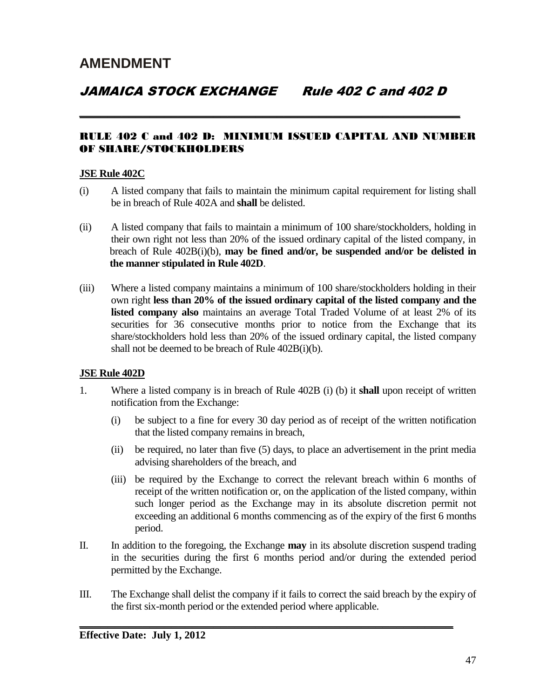**\_\_\_\_\_\_\_\_\_\_\_\_\_\_\_\_\_\_\_\_\_\_\_\_\_\_\_\_\_\_\_\_\_\_\_\_\_\_\_\_\_\_\_\_\_\_\_\_\_\_\_\_\_\_**

#### RULE 402 C and 402 D: MINIMUM ISSUED CAPITAL AND NUMBER OF SHARE/STOCKHOLDERS

#### **JSE Rule 402C**

- (i) A listed company that fails to maintain the minimum capital requirement for listing shall be in breach of Rule 402A and **shall** be delisted.
- (ii) A listed company that fails to maintain a minimum of 100 share/stockholders, holding in their own right not less than 20% of the issued ordinary capital of the listed company, in breach of Rule 402B(i)(b), **may be fined and/or, be suspended and/or be delisted in the manner stipulated in Rule 402D**.
- (iii) Where a listed company maintains a minimum of 100 share/stockholders holding in their own right **less than 20% of the issued ordinary capital of the listed company and the listed company also** maintains an average Total Traded Volume of at least 2% of its securities for 36 consecutive months prior to notice from the Exchange that its share/stockholders hold less than 20% of the issued ordinary capital, the listed company shall not be deemed to be breach of Rule 402B(i)(b).

#### **JSE Rule 402D**

- 1. Where a listed company is in breach of Rule 402B (i) (b) it **shall** upon receipt of written notification from the Exchange:
	- (i) be subject to a fine for every 30 day period as of receipt of the written notification that the listed company remains in breach,
	- (ii) be required, no later than five (5) days, to place an advertisement in the print media advising shareholders of the breach, and
	- (iii) be required by the Exchange to correct the relevant breach within 6 months of receipt of the written notification or, on the application of the listed company, within such longer period as the Exchange may in its absolute discretion permit not exceeding an additional 6 months commencing as of the expiry of the first 6 months period.
- II. In addition to the foregoing, the Exchange **may** in its absolute discretion suspend trading in the securities during the first 6 months period and/or during the extended period permitted by the Exchange.
- III. The Exchange shall delist the company if it fails to correct the said breach by the expiry of the first six-month period or the extended period where applicable.

**\_\_\_\_\_\_\_\_\_\_\_\_\_\_\_\_\_\_\_\_\_\_\_\_\_\_\_\_\_\_\_\_\_\_\_\_\_\_\_\_\_\_\_\_\_\_\_\_\_\_\_\_\_**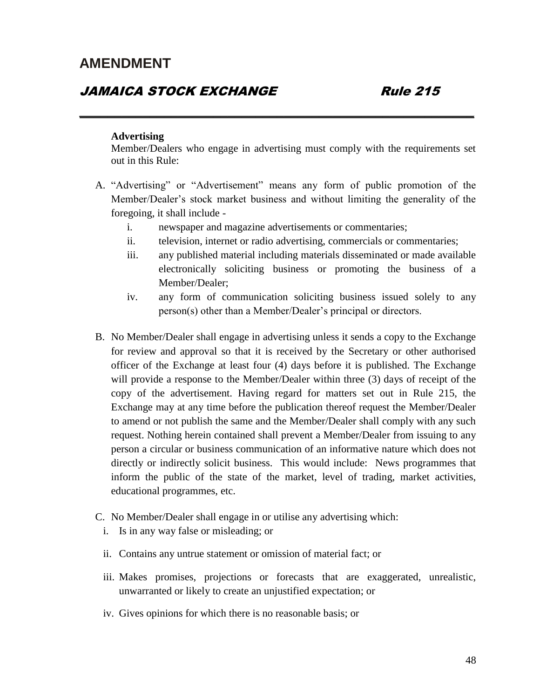#### JAMAICA STOCK EXCHANGE Rule 215

#### **Advertising**

Member/Dealers who engage in advertising must comply with the requirements set out in this Rule:

**\_\_\_\_\_\_\_\_\_\_\_\_\_\_\_\_\_\_\_\_\_\_\_\_\_\_\_\_\_\_\_\_\_\_\_\_\_\_\_\_\_\_\_\_\_\_\_\_\_\_\_\_\_\_\_\_**

- A. "Advertising" or "Advertisement" means any form of public promotion of the Member/Dealer's stock market business and without limiting the generality of the foregoing, it shall include
	- i. newspaper and magazine advertisements or commentaries;
	- ii. television, internet or radio advertising, commercials or commentaries;
	- iii. any published material including materials disseminated or made available electronically soliciting business or promoting the business of a Member/Dealer;
	- iv. any form of communication soliciting business issued solely to any person(s) other than a Member/Dealer's principal or directors.
- B. No Member/Dealer shall engage in advertising unless it sends a copy to the Exchange for review and approval so that it is received by the Secretary or other authorised officer of the Exchange at least four (4) days before it is published. The Exchange will provide a response to the Member/Dealer within three (3) days of receipt of the copy of the advertisement. Having regard for matters set out in Rule 215, the Exchange may at any time before the publication thereof request the Member/Dealer to amend or not publish the same and the Member/Dealer shall comply with any such request. Nothing herein contained shall prevent a Member/Dealer from issuing to any person a circular or business communication of an informative nature which does not directly or indirectly solicit business. This would include: News programmes that inform the public of the state of the market, level of trading, market activities, educational programmes, etc.
- C. No Member/Dealer shall engage in or utilise any advertising which:
	- i. Is in any way false or misleading; or
	- ii. Contains any untrue statement or omission of material fact; or
	- iii. Makes promises, projections or forecasts that are exaggerated, unrealistic, unwarranted or likely to create an unjustified expectation; or
	- iv. Gives opinions for which there is no reasonable basis; or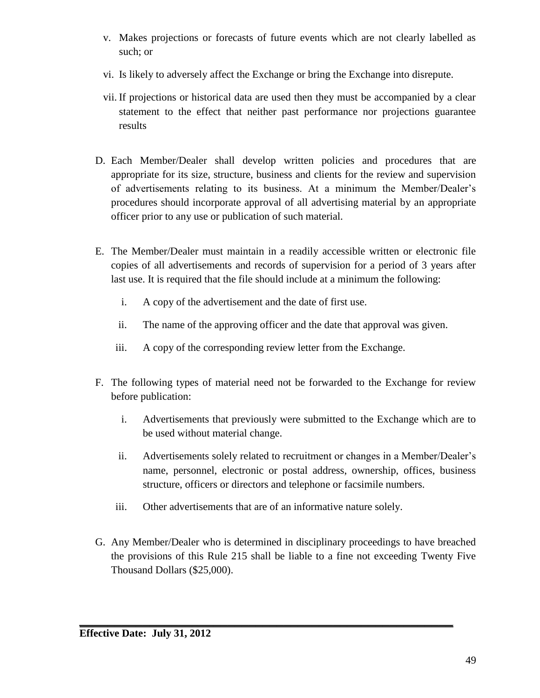- v. Makes projections or forecasts of future events which are not clearly labelled as such; or
- vi. Is likely to adversely affect the Exchange or bring the Exchange into disrepute.
- vii. If projections or historical data are used then they must be accompanied by a clear statement to the effect that neither past performance nor projections guarantee results
- D. Each Member/Dealer shall develop written policies and procedures that are appropriate for its size, structure, business and clients for the review and supervision of advertisements relating to its business. At a minimum the Member/Dealer's procedures should incorporate approval of all advertising material by an appropriate officer prior to any use or publication of such material.
- E. The Member/Dealer must maintain in a readily accessible written or electronic file copies of all advertisements and records of supervision for a period of 3 years after last use. It is required that the file should include at a minimum the following:
	- i. A copy of the advertisement and the date of first use.
	- ii. The name of the approving officer and the date that approval was given.
	- iii. A copy of the corresponding review letter from the Exchange.
- F. The following types of material need not be forwarded to the Exchange for review before publication:
	- i. Advertisements that previously were submitted to the Exchange which are to be used without material change.
	- ii. Advertisements solely related to recruitment or changes in a Member/Dealer's name, personnel, electronic or postal address, ownership, offices, business structure, officers or directors and telephone or facsimile numbers.
	- iii. Other advertisements that are of an informative nature solely.

**\_\_\_\_\_\_\_\_\_\_\_\_\_\_\_\_\_\_\_\_\_\_\_\_\_\_\_\_\_\_\_\_\_\_\_\_\_\_\_\_\_\_\_\_\_\_\_\_\_\_\_\_\_**

G. Any Member/Dealer who is determined in disciplinary proceedings to have breached the provisions of this Rule 215 shall be liable to a fine not exceeding Twenty Five Thousand Dollars (\$25,000).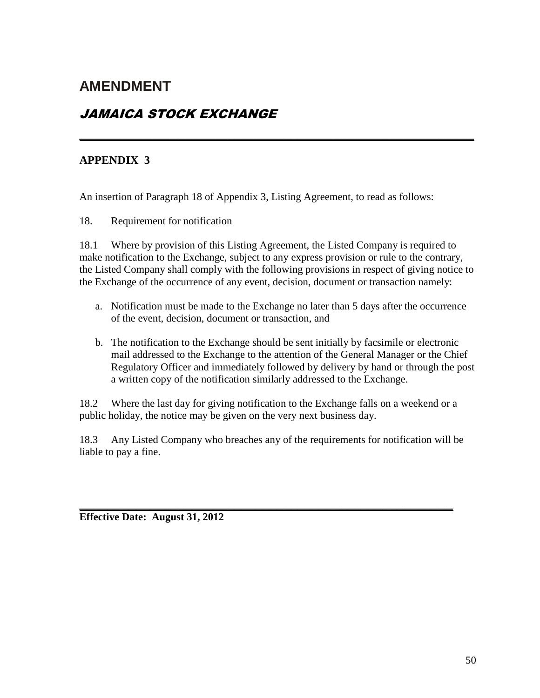### JAMAICA STOCK EXCHANGE

#### **APPENDIX 3**

An insertion of Paragraph 18 of Appendix 3, Listing Agreement, to read as follows:

18. Requirement for notification

18.1 Where by provision of this Listing Agreement, the Listed Company is required to make notification to the Exchange, subject to any express provision or rule to the contrary, the Listed Company shall comply with the following provisions in respect of giving notice to the Exchange of the occurrence of any event, decision, document or transaction namely:

**\_\_\_\_\_\_\_\_\_\_\_\_\_\_\_\_\_\_\_\_\_\_\_\_\_\_\_\_\_\_\_\_\_\_\_\_\_\_\_\_\_\_\_\_\_\_\_\_\_\_\_\_\_\_\_\_**

- a. Notification must be made to the Exchange no later than 5 days after the occurrence of the event, decision, document or transaction, and
- b. The notification to the Exchange should be sent initially by facsimile or electronic mail addressed to the Exchange to the attention of the General Manager or the Chief Regulatory Officer and immediately followed by delivery by hand or through the post a written copy of the notification similarly addressed to the Exchange.

18.2 Where the last day for giving notification to the Exchange falls on a weekend or a public holiday, the notice may be given on the very next business day.

18.3 Any Listed Company who breaches any of the requirements for notification will be liable to pay a fine.

**\_\_\_\_\_\_\_\_\_\_\_\_\_\_\_\_\_\_\_\_\_\_\_\_\_\_\_\_\_\_\_\_\_\_\_\_\_\_\_\_\_\_\_\_\_\_\_\_\_\_\_\_\_**

**Effective Date: August 31, 2012**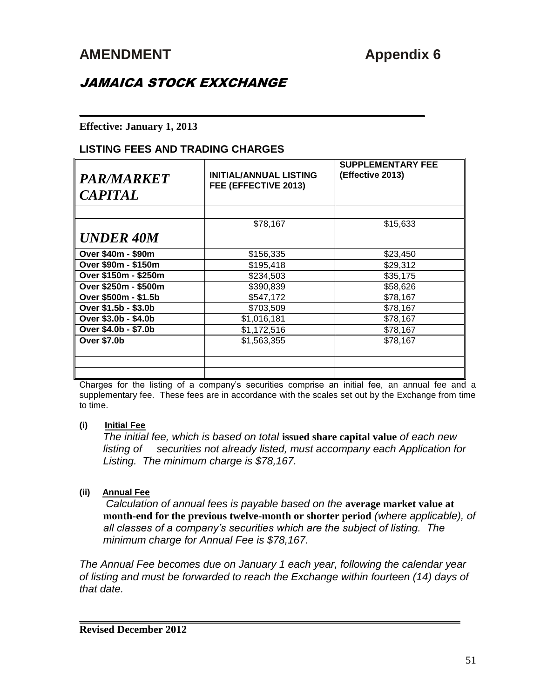### JAMAICA STOCK EXXCHANGE

#### **Effective: January 1, 2013**

#### **LISTING FEES AND TRADING CHARGES**

| <b>PAR/MARKET</b><br><b>CAPITAL</b> | <b>INITIAL/ANNUAL LISTING</b><br>FEE (EFFECTIVE 2013) | <b>SUPPLEMENTARY FEE</b><br>(Effective 2013) |
|-------------------------------------|-------------------------------------------------------|----------------------------------------------|
| <b>UNDER 40M</b>                    | \$78,167                                              | \$15,633                                     |
| Over \$40m - \$90m                  | \$156,335                                             | \$23,450                                     |
| Over \$90m - \$150m                 | \$195,418                                             | \$29,312                                     |
| Over \$150m - \$250m                | \$234,503                                             | \$35,175                                     |
| Over \$250m - \$500m                | \$390,839                                             | \$58,626                                     |
| Over \$500m - \$1.5b                | \$547,172                                             | \$78,167                                     |
| Over \$1.5b - \$3.0b                | \$703,509                                             | \$78,167                                     |
| Over \$3.0b - \$4.0b                | \$1,016,181                                           | \$78,167                                     |
| Over \$4.0b - \$7.0b                | \$1,172,516                                           | \$78,167                                     |
| <b>Over \$7.0b</b>                  | \$1,563,355                                           | \$78,167                                     |
|                                     |                                                       |                                              |
|                                     |                                                       |                                              |

*\_\_\_\_\_\_\_\_\_\_\_\_\_\_\_\_\_\_\_\_\_\_\_\_\_\_\_\_\_\_\_\_\_\_\_\_\_\_\_\_\_\_\_\_\_\_\_\_\_*

Charges for the listing of a company's securities comprise an initial fee, an annual fee and a supplementary fee. These fees are in accordance with the scales set out by the Exchange from time to time.

#### **(i) Initial Fee**

*The initial fee, which is based on total* **issued share capital value** *of each new listing of securities not already listed, must accompany each Application for Listing. The minimum charge is \$78,167.*

#### **(ii) Annual Fee**

 *Calculation of annual fees is payable based on the* **average market value at month-end for the previous twelve-month or shorter period** *(where applicable), of all classes of a company's securities which are the subject of listing. The minimum charge for Annual Fee is \$78,167.*

*The Annual Fee becomes due on January 1 each year, following the calendar year of listing and must be forwarded to reach the Exchange within fourteen (14) days of that date.*

**\_\_\_\_\_\_\_\_\_\_\_\_\_\_\_\_\_\_\_\_\_\_\_\_\_\_\_\_\_\_\_\_\_\_\_\_\_\_\_\_\_\_\_\_\_\_\_\_\_\_\_\_\_\_**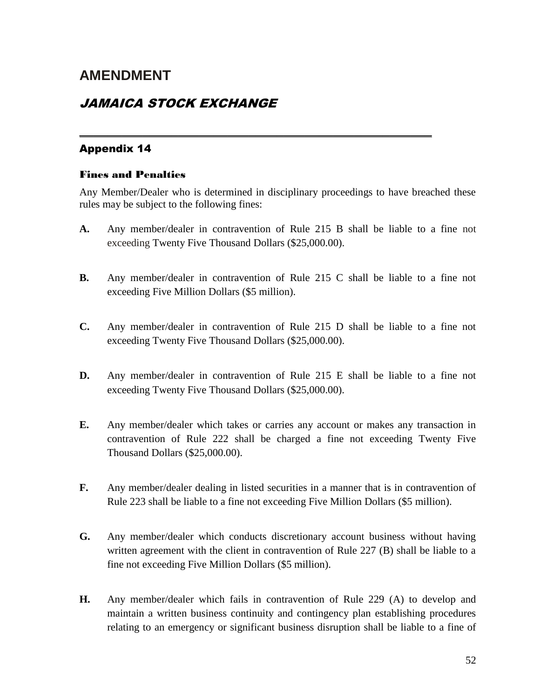### JAMAICA STOCK EXCHANGE

#### Appendix 14

#### Fines and Penalties

Any Member/Dealer who is determined in disciplinary proceedings to have breached these rules may be subject to the following fines:

*\_\_\_\_\_\_\_\_\_\_\_\_\_\_\_\_\_\_\_\_\_\_\_\_\_\_\_\_\_\_\_\_\_\_\_\_\_\_\_\_\_\_\_\_\_\_\_\_\_\_*

- **A.** Any member/dealer in contravention of Rule 215 B shall be liable to a fine not exceeding Twenty Five Thousand Dollars (\$25,000.00).
- **B.** Any member/dealer in contravention of Rule 215 C shall be liable to a fine not exceeding Five Million Dollars (\$5 million).
- **C.** Any member/dealer in contravention of Rule 215 D shall be liable to a fine not exceeding Twenty Five Thousand Dollars (\$25,000.00).
- **D.** Any member/dealer in contravention of Rule 215 E shall be liable to a fine not exceeding Twenty Five Thousand Dollars (\$25,000.00).
- **E.** Any member/dealer which takes or carries any account or makes any transaction in contravention of Rule 222 shall be charged a fine not exceeding Twenty Five Thousand Dollars (\$25,000.00).
- **F.** Any member/dealer dealing in listed securities in a manner that is in contravention of Rule 223 shall be liable to a fine not exceeding Five Million Dollars (\$5 million).
- **G.** Any member/dealer which conducts discretionary account business without having written agreement with the client in contravention of Rule 227 (B) shall be liable to a fine not exceeding Five Million Dollars (\$5 million).
- **H.** Any member/dealer which fails in contravention of Rule 229 (A) to develop and maintain a written business continuity and contingency plan establishing procedures relating to an emergency or significant business disruption shall be liable to a fine of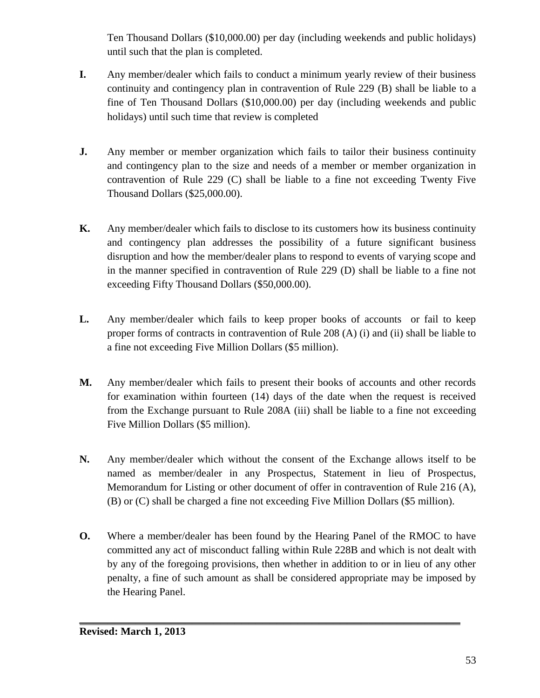Ten Thousand Dollars (\$10,000.00) per day (including weekends and public holidays) until such that the plan is completed.

- **I.** Any member/dealer which fails to conduct a minimum yearly review of their business continuity and contingency plan in contravention of Rule 229 (B) shall be liable to a fine of Ten Thousand Dollars (\$10,000.00) per day (including weekends and public holidays) until such time that review is completed
- **J.** Any member or member organization which fails to tailor their business continuity and contingency plan to the size and needs of a member or member organization in contravention of Rule 229 (C) shall be liable to a fine not exceeding Twenty Five Thousand Dollars (\$25,000.00).
- **K.** Any member/dealer which fails to disclose to its customers how its business continuity and contingency plan addresses the possibility of a future significant business disruption and how the member/dealer plans to respond to events of varying scope and in the manner specified in contravention of Rule 229 (D) shall be liable to a fine not exceeding Fifty Thousand Dollars (\$50,000.00).
- **L.** Any member/dealer which fails to keep proper books of accounts or fail to keep proper forms of contracts in contravention of Rule 208 (A) (i) and (ii) shall be liable to a fine not exceeding Five Million Dollars (\$5 million).
- **M.** Any member/dealer which fails to present their books of accounts and other records for examination within fourteen (14) days of the date when the request is received from the Exchange pursuant to Rule 208A (iii) shall be liable to a fine not exceeding Five Million Dollars (\$5 million).
- **N.** Any member/dealer which without the consent of the Exchange allows itself to be named as member/dealer in any Prospectus, Statement in lieu of Prospectus, Memorandum for Listing or other document of offer in contravention of Rule 216 (A), (B) or (C) shall be charged a fine not exceeding Five Million Dollars (\$5 million).
- **O.** Where a member/dealer has been found by the Hearing Panel of the RMOC to have committed any act of misconduct falling within Rule 228B and which is not dealt with by any of the foregoing provisions, then whether in addition to or in lieu of any other penalty, a fine of such amount as shall be considered appropriate may be imposed by the Hearing Panel.

**\_\_\_\_\_\_\_\_\_\_\_\_\_\_\_\_\_\_\_\_\_\_\_\_\_\_\_\_\_\_\_\_\_\_\_\_\_\_\_\_\_\_\_\_\_\_\_\_\_\_\_\_\_\_**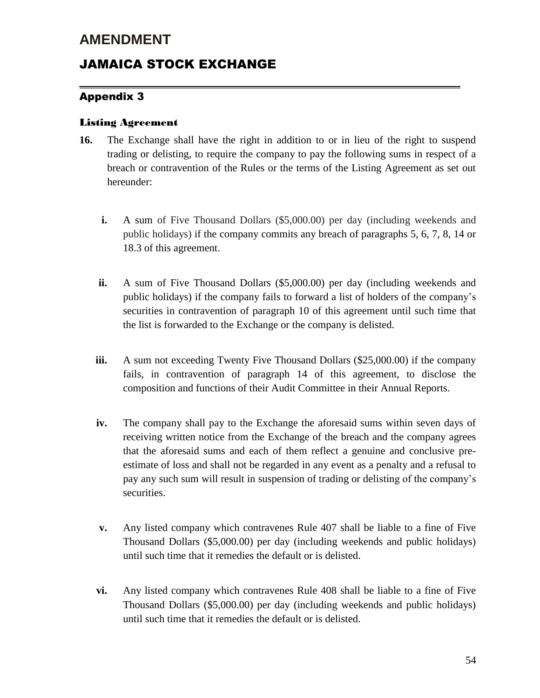### JAMAICA STOCK EXCHANGE

#### Appendix 3

#### Listing Agreement

**16.** The Exchange shall have the right in addition to or in lieu of the right to suspend trading or delisting, to require the company to pay the following sums in respect of a breach or contravention of the Rules or the terms of the Listing Agreement as set out hereunder:

**\_\_\_\_\_\_\_\_\_\_\_\_\_\_\_\_\_\_\_\_\_\_\_\_\_\_\_\_\_\_\_\_\_\_\_\_\_\_\_\_\_\_\_\_\_\_\_\_\_\_\_\_\_\_** 

- **i.** A sum of Five Thousand Dollars (\$5,000.00) per day (including weekends and public holidays) if the company commits any breach of paragraphs 5, 6, 7, 8, 14 or 18.3 of this agreement.
- **ii.** A sum of Five Thousand Dollars (\$5,000.00) per day (including weekends and public holidays) if the company fails to forward a list of holders of the company's securities in contravention of paragraph 10 of this agreement until such time that the list is forwarded to the Exchange or the company is delisted.
- **iii.** A sum not exceeding Twenty Five Thousand Dollars (\$25,000.00) if the company fails, in contravention of paragraph 14 of this agreement, to disclose the composition and functions of their Audit Committee in their Annual Reports.
- **iv.** The company shall pay to the Exchange the aforesaid sums within seven days of receiving written notice from the Exchange of the breach and the company agrees that the aforesaid sums and each of them reflect a genuine and conclusive preestimate of loss and shall not be regarded in any event as a penalty and a refusal to pay any such sum will result in suspension of trading or delisting of the company's securities.
- **v.** Any listed company which contravenes Rule 407 shall be liable to a fine of Five Thousand Dollars (\$5,000.00) per day (including weekends and public holidays) until such time that it remedies the default or is delisted.
- **vi.** Any listed company which contravenes Rule 408 shall be liable to a fine of Five Thousand Dollars (\$5,000.00) per day (including weekends and public holidays) until such time that it remedies the default or is delisted.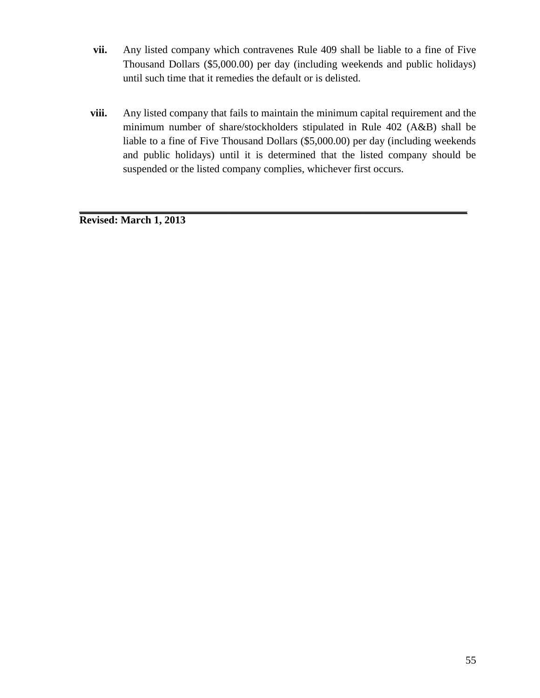- **vii.** Any listed company which contravenes Rule 409 shall be liable to a fine of Five Thousand Dollars (\$5,000.00) per day (including weekends and public holidays) until such time that it remedies the default or is delisted.
- **viii.** Any listed company that fails to maintain the minimum capital requirement and the minimum number of share/stockholders stipulated in Rule 402 (A&B) shall be liable to a fine of Five Thousand Dollars (\$5,000.00) per day (including weekends and public holidays) until it is determined that the listed company should be suspended or the listed company complies, whichever first occurs.

**\_\_\_\_\_\_\_\_\_\_\_\_\_\_\_\_\_\_\_\_\_\_\_\_\_\_\_\_\_\_\_\_\_\_\_\_\_\_\_\_\_\_\_\_\_\_\_\_\_\_\_\_\_\_\_** 

**Revised: March 1, 2013**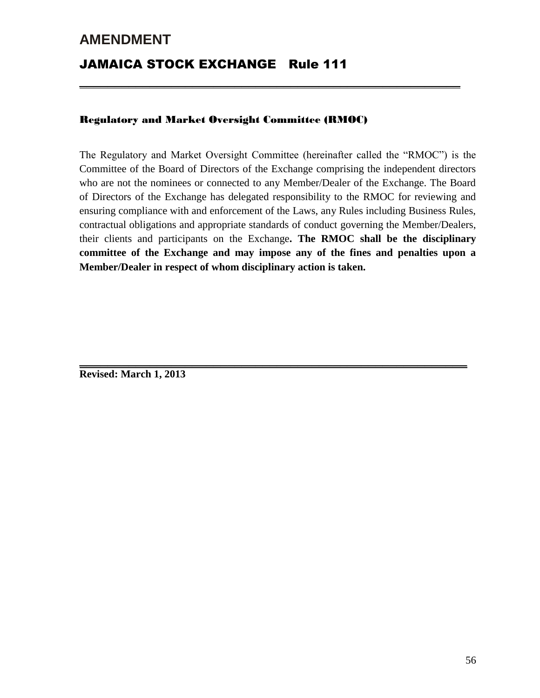## **AMENDMENT** JAMAICA STOCK EXCHANGE Rule 111

#### Regulatory and Market Oversight Committee (RMOC)

The Regulatory and Market Oversight Committee (hereinafter called the "RMOC") is the Committee of the Board of Directors of the Exchange comprising the independent directors who are not the nominees or connected to any Member/Dealer of the Exchange. The Board of Directors of the Exchange has delegated responsibility to the RMOC for reviewing and ensuring compliance with and enforcement of the Laws, any Rules including Business Rules, contractual obligations and appropriate standards of conduct governing the Member/Dealers, their clients and participants on the Exchange**. The RMOC shall be the disciplinary committee of the Exchange and may impose any of the fines and penalties upon a Member/Dealer in respect of whom disciplinary action is taken.**

**\_\_\_\_\_\_\_\_\_\_\_\_\_\_\_\_\_\_\_\_\_\_\_\_\_\_\_\_\_\_\_\_\_\_\_\_\_\_\_\_\_\_\_\_\_\_\_\_\_\_\_\_\_\_\_** 

**\_\_\_\_\_\_\_\_\_\_\_\_\_\_\_\_\_\_\_\_\_\_\_\_\_\_\_\_\_\_\_\_\_\_\_\_\_\_\_\_\_\_\_\_\_\_\_\_\_\_\_\_\_\_** 

**Revised: March 1, 2013**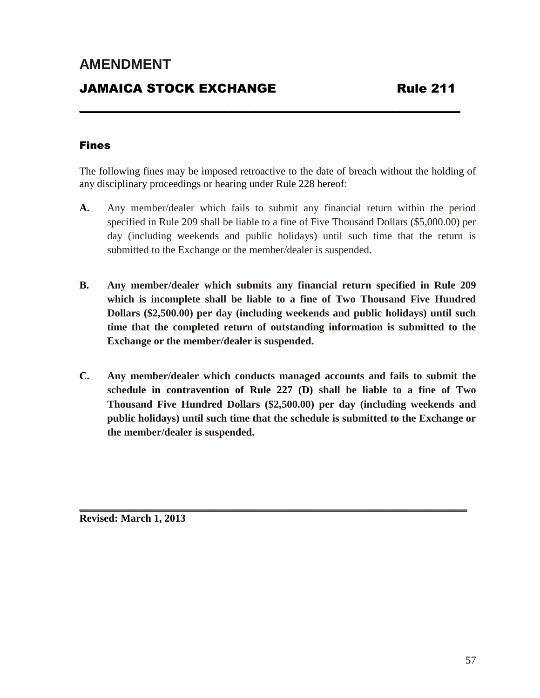### JAMAICA STOCK EXCHANGE Rule 211

#### Fines

The following fines may be imposed retroactive to the date of breach without the holding of any disciplinary proceedings or hearing under Rule 228 hereof:

**\_\_\_\_\_\_\_\_\_\_\_\_\_\_\_\_\_\_\_\_\_\_\_\_\_\_\_\_\_\_\_\_\_\_\_\_\_\_\_\_\_\_\_\_\_\_\_\_\_\_\_\_\_\_** 

- **A.** Any member/dealer which fails to submit any financial return within the period specified in Rule 209 shall be liable to a fine of Five Thousand Dollars (\$5,000.00) per day (including weekends and public holidays) until such time that the return is submitted to the Exchange or the member/dealer is suspended.
- **B. Any member/dealer which submits any financial return specified in Rule 209 which is incomplete shall be liable to a fine of Two Thousand Five Hundred Dollars (\$2,500.00) per day (including weekends and public holidays) until such time that the completed return of outstanding information is submitted to the Exchange or the member/dealer is suspended.**
- **C. Any member/dealer which conducts managed accounts and fails to submit the schedule in contravention of Rule 227 (D) shall be liable to a fine of Two Thousand Five Hundred Dollars (\$2,500.00) per day (including weekends and public holidays) until such time that the schedule is submitted to the Exchange or the member/dealer is suspended.**

**\_\_\_\_\_\_\_\_\_\_\_\_\_\_\_\_\_\_\_\_\_\_\_\_\_\_\_\_\_\_\_\_\_\_\_\_\_\_\_\_\_\_\_\_\_\_\_\_\_\_\_\_\_\_\_** 

**Revised: March 1, 2013**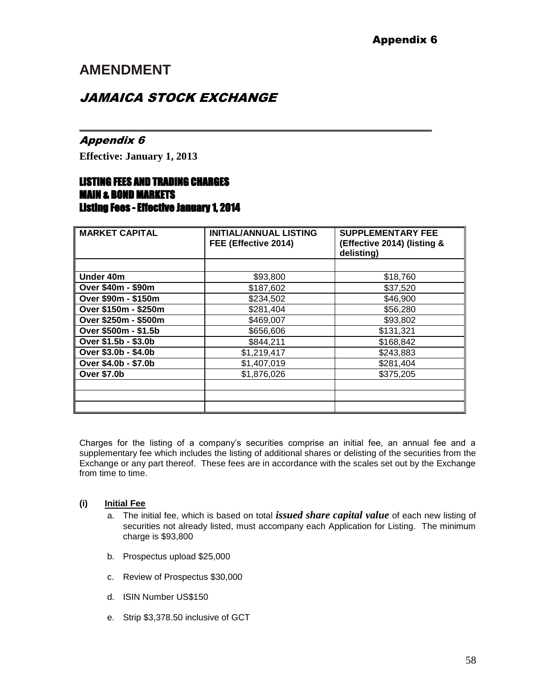### JAMAICA STOCK EXCHANGE

#### Appendix 6

**Effective: January 1, 2013** 

#### LISTING FEES AND TRADING CHARGES MAIN & BOND MARKETS Listing Fees - Effective January 1, 2014

| <b>MARKET CAPITAL</b> | <b>INITIAL/ANNUAL LISTING</b> | <b>SUPPLEMENTARY FEE</b>                  |
|-----------------------|-------------------------------|-------------------------------------------|
|                       | FEE (Effective 2014)          | (Effective 2014) (listing &<br>delisting) |
|                       |                               |                                           |
| Under 40m             | \$93,800                      | \$18,760                                  |
| Over \$40m - \$90m    | \$187,602                     | \$37,520                                  |
| Over \$90m - \$150m   | \$234,502                     | \$46,900                                  |
| Over \$150m - \$250m  | \$281,404                     | \$56,280                                  |
| Over \$250m - \$500m  | \$469,007                     | \$93,802                                  |
| Over \$500m - \$1.5b  | \$656,606                     | \$131,321                                 |
| Over \$1.5b - \$3.0b  | \$844,211                     | \$168,842                                 |
| Over \$3.0b - \$4.0b  | \$1,219,417                   | \$243,883                                 |
| Over \$4.0b - \$7.0b  | \$1,407,019                   | \$281,404                                 |
| <b>Over \$7.0b</b>    | \$1,876,026                   | \$375,205                                 |
|                       |                               |                                           |
|                       |                               |                                           |
|                       |                               |                                           |

*\_\_\_\_\_\_\_\_\_\_\_\_\_\_\_\_\_\_\_\_\_\_\_\_\_\_\_\_\_\_\_\_\_\_\_\_\_\_\_\_\_\_\_\_\_\_\_\_\_\_*

Charges for the listing of a company's securities comprise an initial fee, an annual fee and a supplementary fee which includes the listing of additional shares or delisting of the securities from the Exchange or any part thereof. These fees are in accordance with the scales set out by the Exchange from time to time.

#### **(i) Initial Fee**

- a. The initial fee, which is based on total *issued share capital value* of each new listing of securities not already listed, must accompany each Application for Listing. The minimum charge is \$93,800
- b. Prospectus upload \$25,000
- c. Review of Prospectus \$30,000
- d. ISIN Number US\$150
- e. Strip \$3,378.50 inclusive of GCT